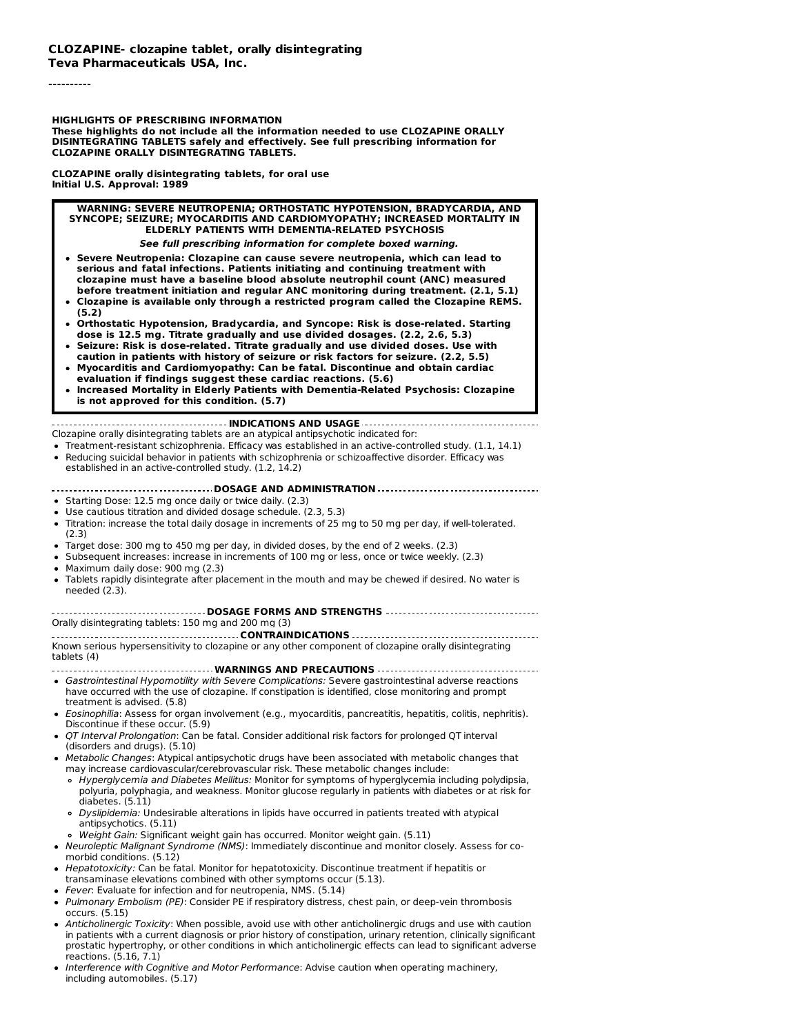----------

**HIGHLIGHTS OF PRESCRIBING INFORMATION**

**These highlights do not include all the information needed to use CLOZAPINE ORALLY DISINTEGRATING TABLETS safely and effectively. See full prescribing information for CLOZAPINE ORALLY DISINTEGRATING TABLETS.**

**CLOZAPINE orally disintegrating tablets, for oral use Initial U.S. Approval: 1989**

#### **WARNING: SEVERE NEUTROPENIA; ORTHOSTATIC HYPOTENSION, BRADYCARDIA, AND SYNCOPE; SEIZURE; MYOCARDITIS AND CARDIOMYOPATHY; INCREASED MORTALITY IN ELDERLY PATIENTS WITH DEMENTIA-RELATED PSYCHOSIS**

**See full prescribing information for complete boxed warning.**

- **Severe Neutropenia: Clozapine can cause severe neutropenia, which can lead to serious and fatal infections. Patients initiating and continuing treatment with clozapine must have a baseline blood absolute neutrophil count (ANC) measured before treatment initiation and regular ANC monitoring during treatment. (2.1, 5.1)**
- **Clozapine is available only through a restricted program called the Clozapine REMS. (5.2)**
- **Orthostatic Hypotension, Bradycardia, and Syncope: Risk is dose-related. Starting dose is 12.5 mg. Titrate gradually and use divided dosages. (2.2, 2.6, 5.3)**
- **Seizure: Risk is dose-related. Titrate gradually and use divided doses. Use with caution in patients with history of seizure or risk factors for seizure. (2.2, 5.5)**
- **Myocarditis and Cardiomyopathy: Can be fatal. Discontinue and obtain cardiac evaluation if findings suggest these cardiac reactions. (5.6) Increased Mortality in Elderly Patients with Dementia-Related Psychosis: Clozapine**
- **is not approved for this condition. (5.7)**

#### **INDICATIONS AND USAGE** Clozapine orally disintegrating tablets are an atypical antipsychotic indicated for:

- Treatment-resistant schizophrenia. Efficacy was established in an active-controlled study. (1.1, 14.1) Reducing suicidal behavior in patients with schizophrenia or schizoaffective disorder. Efficacy was
- established in an active-controlled study. (1.2, 14.2)

### **DOSAGE AND ADMINISTRATION**

- Starting Dose: 12.5 mg once daily or twice daily. (2.3)
- Use cautious titration and divided dosage schedule. (2.3, 5.3)
- Titration: increase the total daily dosage in increments of 25 mg to 50 mg per day, if well-tolerated. (2.3)
- Target dose: 300 mg to 450 mg per day, in divided doses, by the end of 2 weeks. (2.3)
- Subsequent increases: increase in increments of 100 mg or less, once or twice weekly. (2.3)
- Maximum daily dose: 900 mg (2.3)
- Tablets rapidly disintegrate after placement in the mouth and may be chewed if desired. No water is needed (2.3).

#### **DOSAGE FORMS AND STRENGTHS** Orally disintegrating tablets: 150 mg and 200 mg (3)

**CONTRAINDICATIONS** Known serious hypersensitivity to clozapine or any other component of clozapine orally disintegrating tablets (4)

**WARNINGS AND PRECAUTIONS**

- Gastrointestinal Hypomotility with Severe Complications: Severe gastrointestinal adverse reactions have occurred with the use of clozapine. If constipation is identified, close monitoring and prompt treatment is advised. (5.8)
- Eosinophilia: Assess for organ involvement (e.g., myocarditis, pancreatitis, hepatitis, colitis, nephritis). Discontinue if these occur. (5.9)
- QT Interval Prolongation: Can be fatal. Consider additional risk factors for prolonged QT interval (disorders and drugs). (5.10)
- Metabolic Changes: Atypical antipsychotic drugs have been associated with metabolic changes that may increase cardiovascular/cerebrovascular risk. These metabolic changes include:
	- Hyperglycemia and Diabetes Mellitus: Monitor for symptoms of hyperglycemia including polydipsia, polyuria, polyphagia, and weakness. Monitor glucose regularly in patients with diabetes or at risk for diabetes. (5.11)
	- Dyslipidemia: Undesirable alterations in lipids have occurred in patients treated with atypical antipsychotics. (5.11)
	- o Weight Gain: Significant weight gain has occurred. Monitor weight gain. (5.11)
- Neuroleptic Malignant Syndrome (NMS): Immediately discontinue and monitor closely. Assess for comorbid conditions. (5.12)
- Hepatotoxicity: Can be fatal. Monitor for hepatotoxicity. Discontinue treatment if hepatitis or transaminase elevations combined with other symptoms occur (5.13).
- Fever: Evaluate for infection and for neutropenia, NMS. (5.14)
- Pulmonary Embolism (PE): Consider PE if respiratory distress, chest pain, or deep-vein thrombosis occurs. (5.15)
- Anticholinergic Toxicity: When possible, avoid use with other anticholinergic drugs and use with caution in patients with a current diagnosis or prior history of constipation, urinary retention, clinically significant prostatic hypertrophy, or other conditions in which anticholinergic effects can lead to significant adverse reactions. (5.16, 7.1)
- Interference with Cognitive and Motor Performance: Advise caution when operating machinery, including automobiles. (5.17)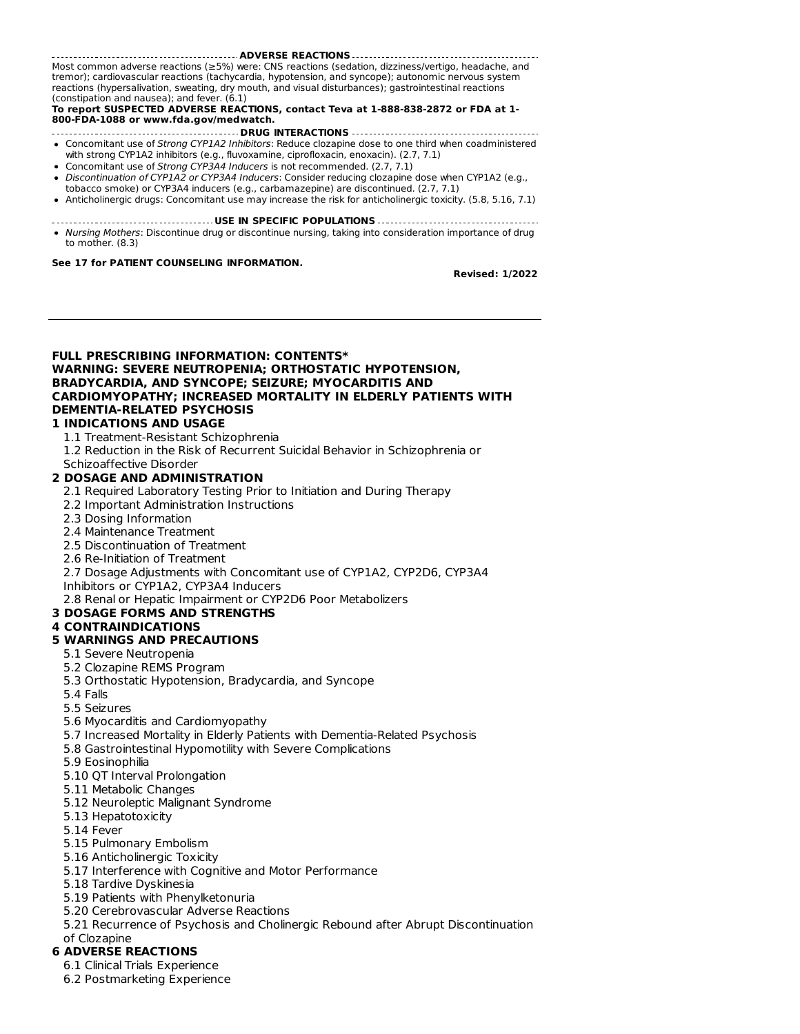**ADVERSE REACTIONS** Most common adverse reactions (≥5%) were: CNS reactions (sedation, dizziness/vertigo, headache, and tremor); cardiovascular reactions (tachycardia, hypotension, and syncope); autonomic nervous system reactions (hypersalivation, sweating, dry mouth, and visual disturbances); gastrointestinal reactions (constipation and nausea); and fever. (6.1)

**To report SUSPECTED ADVERSE REACTIONS, contact Teva at 1-888-838-2872 or FDA at 1- 800-FDA-1088 or www.fda.gov/medwatch.**

- **DRUG INTERACTIONS** • Concomitant use of Strong CYP1A2 Inhibitors: Reduce clozapine dose to one third when coadministered
- with strong CYP1A2 inhibitors (e.g., fluvoxamine, ciprofloxacin, enoxacin). (2.7, 7.1) • Concomitant use of Strong CYP3A4 Inducers is not recommended. (2.7, 7.1)
- Discontinuation of CYP1A2 or CYP3A4 Inducers: Consider reducing clozapine dose when CYP1A2 (e.g.,
- tobacco smoke) or CYP3A4 inducers (e.g., carbamazepine) are discontinued. (2.7, 7.1) Anticholinergic drugs: Concomitant use may increase the risk for anticholinergic toxicity. (5.8, 5.16, 7.1)
- **USE IN SPECIFIC POPULATIONS**
- Nursing Mothers: Discontinue drug or discontinue nursing, taking into consideration importance of drug to mother. (8.3)

#### **See 17 for PATIENT COUNSELING INFORMATION.**

**Revised: 1/2022**

**FULL PRESCRIBING INFORMATION: CONTENTS\* WARNING: SEVERE NEUTROPENIA; ORTHOSTATIC HYPOTENSION, BRADYCARDIA, AND SYNCOPE; SEIZURE; MYOCARDITIS AND CARDIOMYOPATHY; INCREASED MORTALITY IN ELDERLY PATIENTS WITH DEMENTIA-RELATED PSYCHOSIS**

# **1 INDICATIONS AND USAGE**

- 1.1 Treatment-Resistant Schizophrenia
- 1.2 Reduction in the Risk of Recurrent Suicidal Behavior in Schizophrenia or
- Schizoaffective Disorder

### **2 DOSAGE AND ADMINISTRATION**

- 2.1 Required Laboratory Testing Prior to Initiation and During Therapy
- 2.2 Important Administration Instructions
- 2.3 Dosing Information
- 2.4 Maintenance Treatment
- 2.5 Discontinuation of Treatment
- 2.6 Re-Initiation of Treatment
- 2.7 Dosage Adjustments with Concomitant use of CYP1A2, CYP2D6, CYP3A4
- Inhibitors or CYP1A2, CYP3A4 Inducers

2.8 Renal or Hepatic Impairment or CYP2D6 Poor Metabolizers

# **3 DOSAGE FORMS AND STRENGTHS**

### **4 CONTRAINDICATIONS**

- **5 WARNINGS AND PRECAUTIONS**
	- 5.1 Severe Neutropenia
	- 5.2 Clozapine REMS Program
- 5.3 Orthostatic Hypotension, Bradycardia, and Syncope
- 5.4 Falls
- 5.5 Seizures
- 5.6 Myocarditis and Cardiomyopathy
- 5.7 Increased Mortality in Elderly Patients with Dementia-Related Psychosis
- 5.8 Gastrointestinal Hypomotility with Severe Complications
- 5.9 Eosinophilia
- 5.10 QT Interval Prolongation
- 5.11 Metabolic Changes
- 5.12 Neuroleptic Malignant Syndrome
- 5.13 Hepatotoxicity
- 5.14 Fever
- 5.15 Pulmonary Embolism
- 5.16 Anticholinergic Toxicity
- 5.17 Interference with Cognitive and Motor Performance
- 5.18 Tardive Dyskinesia
- 5.19 Patients with Phenylketonuria
- 5.20 Cerebrovascular Adverse Reactions
- 5.21 Recurrence of Psychosis and Cholinergic Rebound after Abrupt Discontinuation
- of Clozapine

# **6 ADVERSE REACTIONS**

- 6.1 Clinical Trials Experience
- 6.2 Postmarketing Experience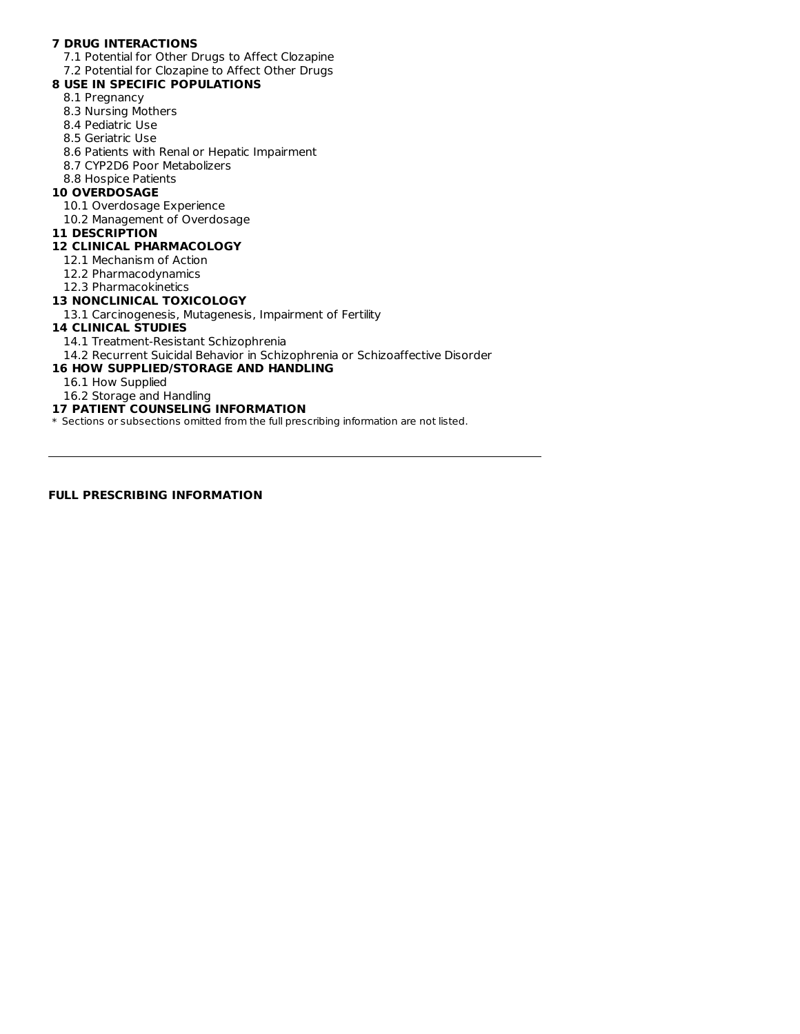# **7 DRUG INTERACTIONS**

7.1 Potential for Other Drugs to Affect Clozapine 7.2 Potential for Clozapine to Affect Other Drugs

# **8 USE IN SPECIFIC POPULATIONS**

- 8.1 Pregnancy
- 8.3 Nursing Mothers
- 8.4 Pediatric Use
- 8.5 Geriatric Use
- 8.6 Patients with Renal or Hepatic Impairment
- 8.7 CYP2D6 Poor Metabolizers
- 8.8 Hospice Patients

### **10 OVERDOSAGE**

- 10.1 Overdosage Experience
- 10.2 Management of Overdosage
- **11 DESCRIPTION**

# **12 CLINICAL PHARMACOLOGY**

- 12.1 Mechanism of Action
- 12.2 Pharmacodynamics
- 12.3 Pharmacokinetics

### **13 NONCLINICAL TOXICOLOGY**

13.1 Carcinogenesis, Mutagenesis, Impairment of Fertility

### **14 CLINICAL STUDIES**

- 14.1 Treatment-Resistant Schizophrenia
- 14.2 Recurrent Suicidal Behavior in Schizophrenia or Schizoaffective Disorder

### **16 HOW SUPPLIED/STORAGE AND HANDLING**

- 16.1 How Supplied
- 16.2 Storage and Handling

# **17 PATIENT COUNSELING INFORMATION**

\* Sections or subsections omitted from the full prescribing information are not listed.

# **FULL PRESCRIBING INFORMATION**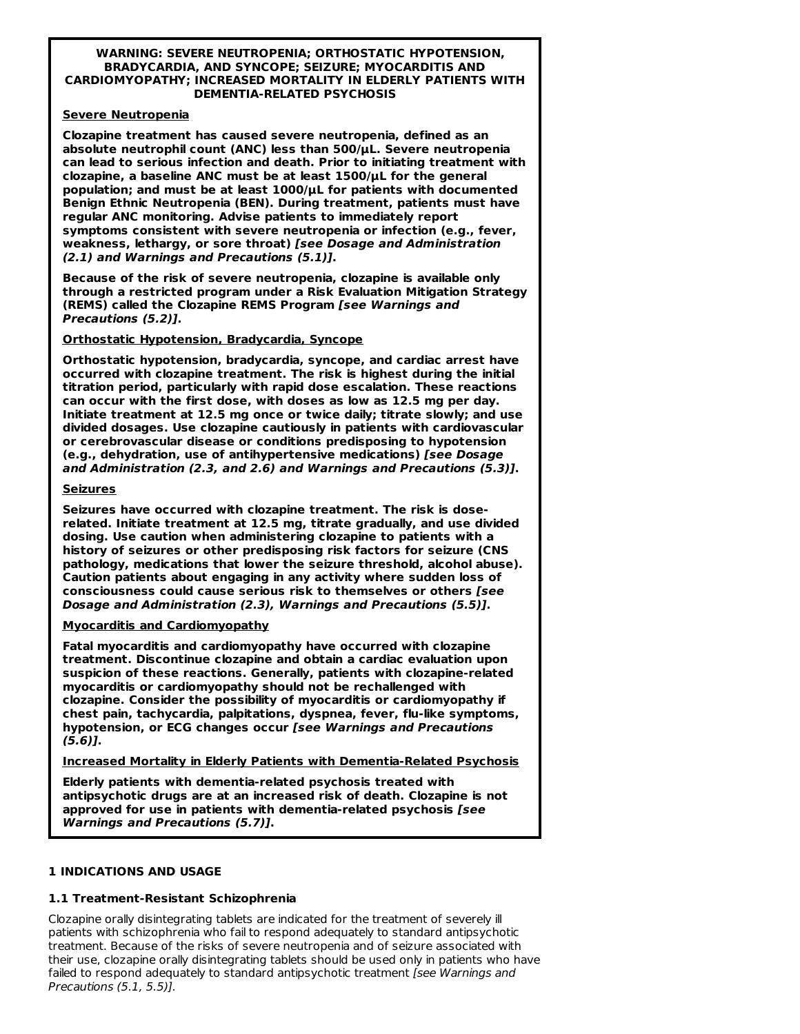#### **WARNING: SEVERE NEUTROPENIA; ORTHOSTATIC HYPOTENSION, BRADYCARDIA, AND SYNCOPE; SEIZURE; MYOCARDITIS AND CARDIOMYOPATHY; INCREASED MORTALITY IN ELDERLY PATIENTS WITH DEMENTIA-RELATED PSYCHOSIS**

### **Severe Neutropenia**

**Clozapine treatment has caused severe neutropenia, defined as an absolute neutrophil count (ANC) less than 500/μL. Severe neutropenia can lead to serious infection and death. Prior to initiating treatment with clozapine, a baseline ANC must be at least 1500/μL for the general population; and must be at least 1000/μL for patients with documented Benign Ethnic Neutropenia (BEN). During treatment, patients must have regular ANC monitoring. Advise patients to immediately report symptoms consistent with severe neutropenia or infection (e.g., fever, weakness, lethargy, or sore throat) [see Dosage and Administration (2.1) and Warnings and Precautions (5.1)].**

**Because of the risk of severe neutropenia, clozapine is available only through a restricted program under a Risk Evaluation Mitigation Strategy (REMS) called the Clozapine REMS Program [see Warnings and Precautions (5.2)].**

### **Orthostatic Hypotension, Bradycardia, Syncope**

**Orthostatic hypotension, bradycardia, syncope, and cardiac arrest have occurred with clozapine treatment. The risk is highest during the initial titration period, particularly with rapid dose escalation. These reactions can occur with the first dose, with doses as low as 12.5 mg per day. Initiate treatment at 12.5 mg once or twice daily; titrate slowly; and use divided dosages. Use clozapine cautiously in patients with cardiovascular or cerebrovascular disease or conditions predisposing to hypotension (e.g., dehydration, use of antihypertensive medications) [see Dosage and Administration (2.3, and 2.6) and Warnings and Precautions (5.3)].**

### **Seizures**

**Seizures have occurred with clozapine treatment. The risk is doserelated. Initiate treatment at 12.5 mg, titrate gradually, and use divided dosing. Use caution when administering clozapine to patients with a history of seizures or other predisposing risk factors for seizure (CNS pathology, medications that lower the seizure threshold, alcohol abuse). Caution patients about engaging in any activity where sudden loss of consciousness could cause serious risk to themselves or others [see Dosage and Administration (2.3), Warnings and Precautions (5.5)].**

### **Myocarditis and Cardiomyopathy**

**Fatal myocarditis and cardiomyopathy have occurred with clozapine treatment. Discontinue clozapine and obtain a cardiac evaluation upon suspicion of these reactions. Generally, patients with clozapine-related myocarditis or cardiomyopathy should not be rechallenged with clozapine. Consider the possibility of myocarditis or cardiomyopathy if chest pain, tachycardia, palpitations, dyspnea, fever, flu-like symptoms, hypotension, or ECG changes occur [see Warnings and Precautions (5.6)].**

**Increased Mortality in Elderly Patients with Dementia-Related Psychosis**

**Elderly patients with dementia-related psychosis treated with antipsychotic drugs are at an increased risk of death. Clozapine is not approved for use in patients with dementia-related psychosis [see Warnings and Precautions (5.7)].**

# **1 INDICATIONS AND USAGE**

# **1.1 Treatment-Resistant Schizophrenia**

Clozapine orally disintegrating tablets are indicated for the treatment of severely ill patients with schizophrenia who fail to respond adequately to standard antipsychotic treatment. Because of the risks of severe neutropenia and of seizure associated with their use, clozapine orally disintegrating tablets should be used only in patients who have failed to respond adequately to standard antipsychotic treatment [see Warnings and Precautions (5.1, 5.5)].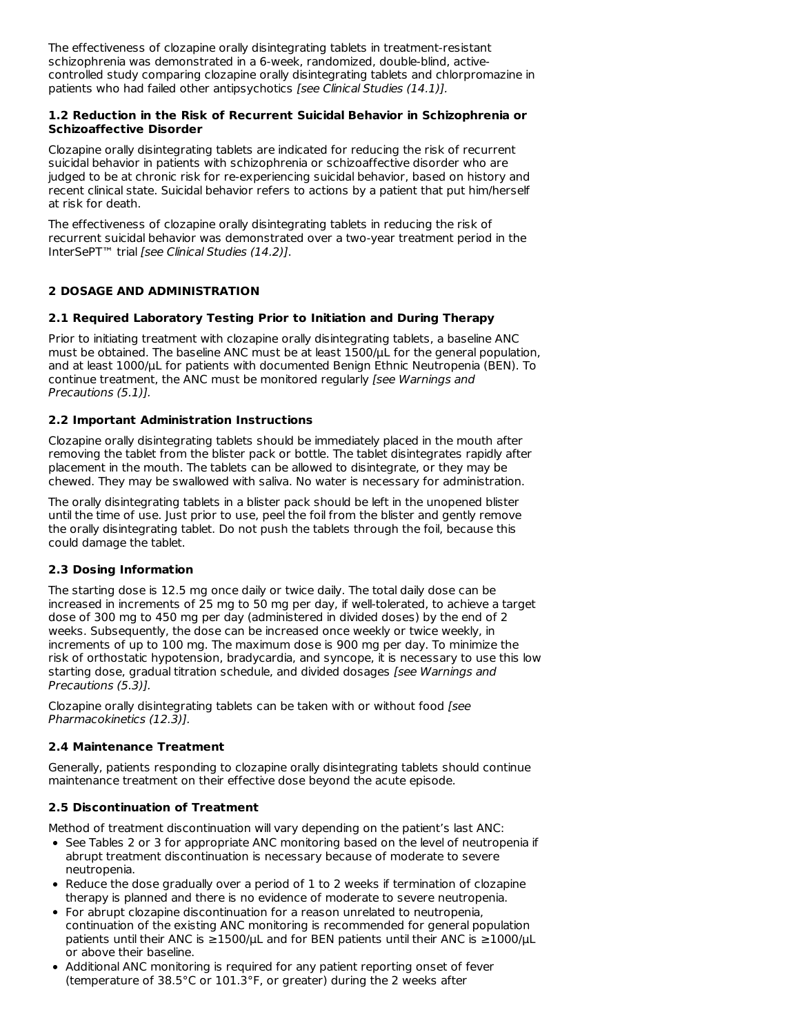The effectiveness of clozapine orally disintegrating tablets in treatment-resistant schizophrenia was demonstrated in a 6-week, randomized, double-blind, activecontrolled study comparing clozapine orally disintegrating tablets and chlorpromazine in patients who had failed other antipsychotics [see Clinical Studies (14.1)].

### **1.2 Reduction in the Risk of Recurrent Suicidal Behavior in Schizophrenia or Schizoaffective Disorder**

Clozapine orally disintegrating tablets are indicated for reducing the risk of recurrent suicidal behavior in patients with schizophrenia or schizoaffective disorder who are judged to be at chronic risk for re-experiencing suicidal behavior, based on history and recent clinical state. Suicidal behavior refers to actions by a patient that put him/herself at risk for death.

The effectiveness of clozapine orally disintegrating tablets in reducing the risk of recurrent suicidal behavior was demonstrated over a two-year treatment period in the InterSePT™ trial [see Clinical Studies (14.2)].

# **2 DOSAGE AND ADMINISTRATION**

# **2.1 Required Laboratory Testing Prior to Initiation and During Therapy**

Prior to initiating treatment with clozapine orally disintegrating tablets, a baseline ANC must be obtained. The baseline ANC must be at least 1500/μL for the general population, and at least 1000/μL for patients with documented Benign Ethnic Neutropenia (BEN). To continue treatment, the ANC must be monitored regularly [see Warnings and Precautions (5.1)].

### **2.2 Important Administration Instructions**

Clozapine orally disintegrating tablets should be immediately placed in the mouth after removing the tablet from the blister pack or bottle. The tablet disintegrates rapidly after placement in the mouth. The tablets can be allowed to disintegrate, or they may be chewed. They may be swallowed with saliva. No water is necessary for administration.

The orally disintegrating tablets in a blister pack should be left in the unopened blister until the time of use. Just prior to use, peel the foil from the blister and gently remove the orally disintegrating tablet. Do not push the tablets through the foil, because this could damage the tablet.

# **2.3 Dosing Information**

The starting dose is 12.5 mg once daily or twice daily. The total daily dose can be increased in increments of 25 mg to 50 mg per day, if well-tolerated, to achieve a target dose of 300 mg to 450 mg per day (administered in divided doses) by the end of 2 weeks. Subsequently, the dose can be increased once weekly or twice weekly, in increments of up to 100 mg. The maximum dose is 900 mg per day. To minimize the risk of orthostatic hypotension, bradycardia, and syncope, it is necessary to use this low starting dose, gradual titration schedule, and divided dosages [see Warnings and Precautions (5.3)].

Clozapine orally disintegrating tablets can be taken with or without food [see Pharmacokinetics (12.3)].

# **2.4 Maintenance Treatment**

Generally, patients responding to clozapine orally disintegrating tablets should continue maintenance treatment on their effective dose beyond the acute episode.

# **2.5 Discontinuation of Treatment**

Method of treatment discontinuation will vary depending on the patient's last ANC:

- See Tables 2 or 3 for appropriate ANC monitoring based on the level of neutropenia if abrupt treatment discontinuation is necessary because of moderate to severe neutropenia.
- Reduce the dose gradually over a period of 1 to 2 weeks if termination of clozapine therapy is planned and there is no evidence of moderate to severe neutropenia.
- For abrupt clozapine discontinuation for a reason unrelated to neutropenia, continuation of the existing ANC monitoring is recommended for general population patients until their ANC is ≥1500/μL and for BEN patients until their ANC is ≥1000/μL or above their baseline.
- Additional ANC monitoring is required for any patient reporting onset of fever (temperature of 38.5°C or 101.3°F, or greater) during the 2 weeks after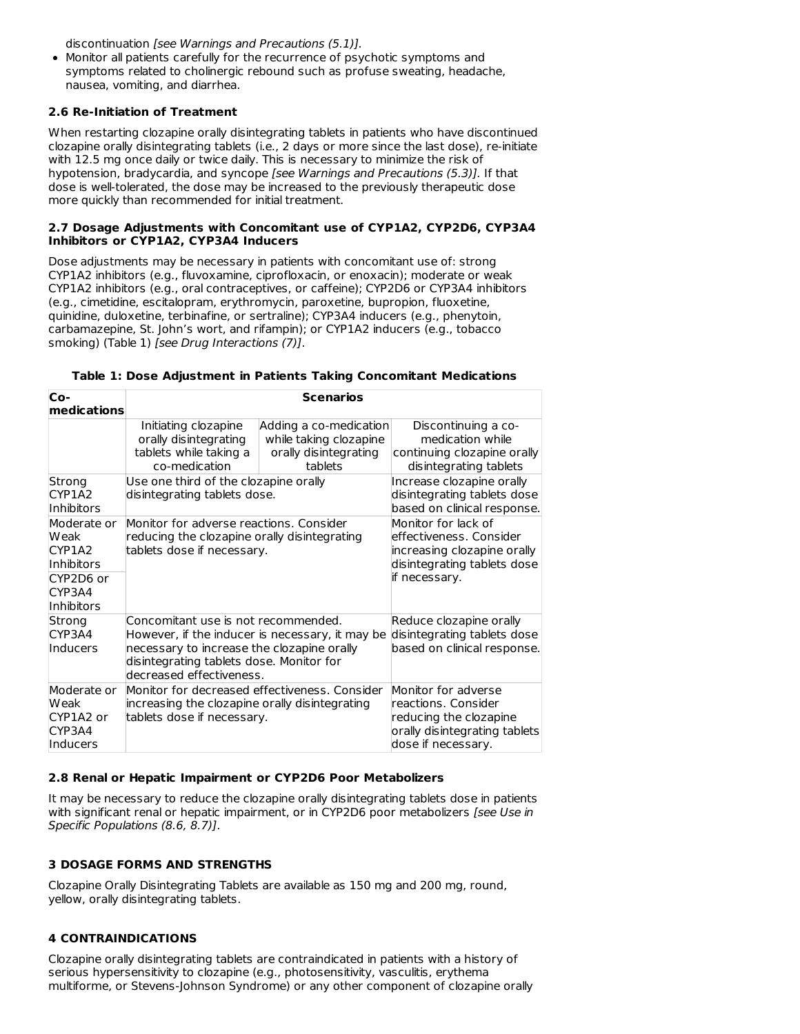discontinuation [see Warnings and Precautions (5.1)].

Monitor all patients carefully for the recurrence of psychotic symptoms and symptoms related to cholinergic rebound such as profuse sweating, headache, nausea, vomiting, and diarrhea.

### **2.6 Re-Initiation of Treatment**

When restarting clozapine orally disintegrating tablets in patients who have discontinued clozapine orally disintegrating tablets (i.e., 2 days or more since the last dose), re-initiate with 12.5 mg once daily or twice daily. This is necessary to minimize the risk of hypotension, bradycardia, and syncope [see Warnings and Precautions (5.3)]. If that dose is well-tolerated, the dose may be increased to the previously therapeutic dose more quickly than recommended for initial treatment.

#### **2.7 Dosage Adjustments with Concomitant use of CYP1A2, CYP2D6, CYP3A4 Inhibitors or CYP1A2, CYP3A4 Inducers**

Dose adjustments may be necessary in patients with concomitant use of: strong CYP1A2 inhibitors (e.g., fluvoxamine, ciprofloxacin, or enoxacin); moderate or weak CYP1A2 inhibitors (e.g., oral contraceptives, or caffeine); CYP2D6 or CYP3A4 inhibitors (e.g., cimetidine, escitalopram, erythromycin, paroxetine, bupropion, fluoxetine, quinidine, duloxetine, terbinafine, or sertraline); CYP3A4 inducers (e.g., phenytoin, carbamazepine, St. John's wort, and rifampin); or CYP1A2 inducers (e.g., tobacco smoking) (Table 1) [see Drug Interactions (7)].

| Co-<br>medications                                                                             | <b>Scenarios</b>                                                                                                                                                                                             |                                                                                                                       |                                                                                                                             |  |
|------------------------------------------------------------------------------------------------|--------------------------------------------------------------------------------------------------------------------------------------------------------------------------------------------------------------|-----------------------------------------------------------------------------------------------------------------------|-----------------------------------------------------------------------------------------------------------------------------|--|
|                                                                                                | Initiating clozapine<br>orally disintegrating<br>tablets while taking a<br>co-medication                                                                                                                     | Adding a co-medication<br>while taking clozapine<br>orally disintegrating<br>tablets                                  | Discontinuing a co-<br>medication while<br>continuing clozapine orally<br>disintegrating tablets                            |  |
| Strong<br>CYP1A2<br>Inhibitors                                                                 | Use one third of the clozapine orally<br>disintegrating tablets dose.                                                                                                                                        |                                                                                                                       | Increase clozapine orally<br>disintegrating tablets dose<br>based on clinical response.                                     |  |
| Moderate or<br>Weak<br>CYP1A2<br><b>Inhibitors</b><br>CYP2D6 or<br>CYP3A4<br><b>Inhibitors</b> |                                                                                                                                                                                                              | Monitor for adverse reactions. Consider<br>reducing the clozapine orally disintegrating<br>tablets dose if necessary. |                                                                                                                             |  |
| Strong<br>CYP3A4<br>Inducers                                                                   | Concomitant use is not recommended.<br>However, if the inducer is necessary, it may be<br>necessary to increase the clozapine orally<br>disintegrating tablets dose. Monitor for<br>decreased effectiveness. |                                                                                                                       | Reduce clozapine orally<br>disintegrating tablets dose<br>based on clinical response.                                       |  |
| Moderate or<br><b>Weak</b><br>CYP1A2 or<br>CYP3A4<br>Inducers                                  | Monitor for decreased effectiveness. Consider<br>increasing the clozapine orally disintegrating<br>tablets dose if necessary.                                                                                |                                                                                                                       | Monitor for adverse<br>reactions, Consider<br>reducing the clozapine<br>orally disintegrating tablets<br>dose if necessary. |  |

### **Table 1: Dose Adjustment in Patients Taking Concomitant Medications**

### **2.8 Renal or Hepatic Impairment or CYP2D6 Poor Metabolizers**

It may be necessary to reduce the clozapine orally disintegrating tablets dose in patients with significant renal or hepatic impairment, or in CYP2D6 poor metabolizers [see Use in Specific Populations (8.6, 8.7)].

# **3 DOSAGE FORMS AND STRENGTHS**

Clozapine Orally Disintegrating Tablets are available as 150 mg and 200 mg, round, yellow, orally disintegrating tablets.

# **4 CONTRAINDICATIONS**

Clozapine orally disintegrating tablets are contraindicated in patients with a history of serious hypersensitivity to clozapine (e.g., photosensitivity, vasculitis, erythema multiforme, or Stevens-Johnson Syndrome) or any other component of clozapine orally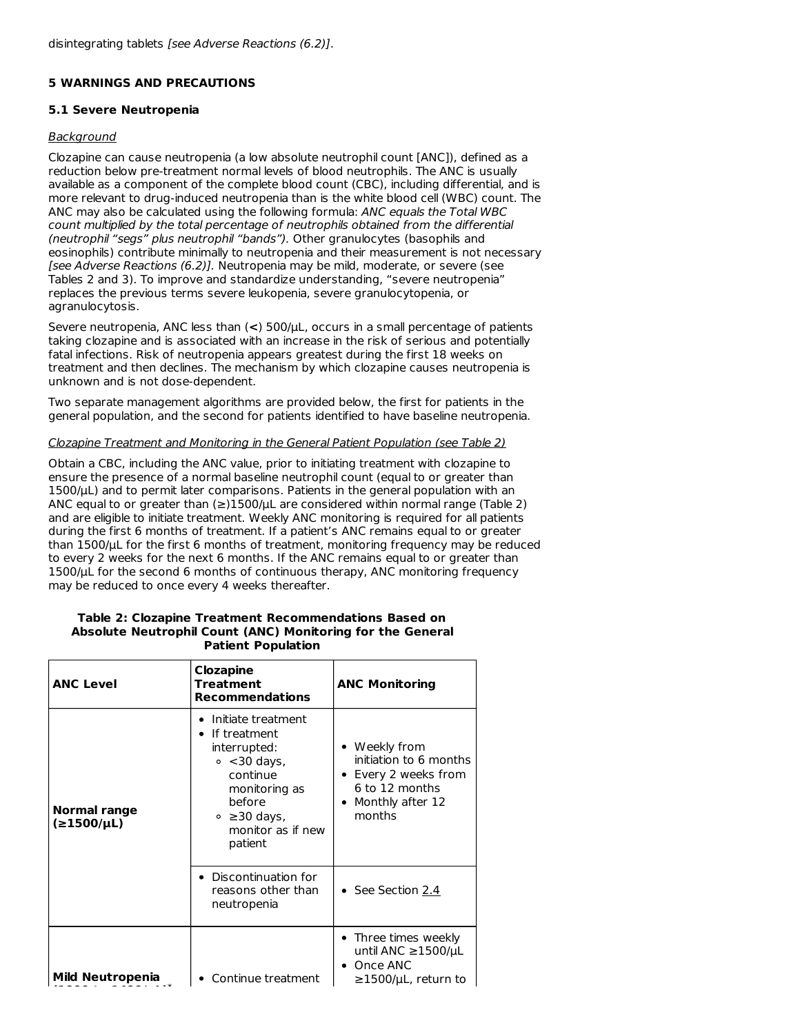### **5 WARNINGS AND PRECAUTIONS**

### **5.1 Severe Neutropenia**

### Background

Clozapine can cause neutropenia (a low absolute neutrophil count [ANC]), defined as a reduction below pre-treatment normal levels of blood neutrophils. The ANC is usually available as a component of the complete blood count (CBC), including differential, and is more relevant to drug-induced neutropenia than is the white blood cell (WBC) count. The ANC may also be calculated using the following formula: ANC equals the Total WBC count multiplied by the total percentage of neutrophils obtained from the differential (neutrophil "segs" plus neutrophil "bands"). Other granulocytes (basophils and eosinophils) contribute minimally to neutropenia and their measurement is not necessary [see Adverse Reactions (6.2)]. Neutropenia may be mild, moderate, or severe (see Tables 2 and 3). To improve and standardize understanding, "severe neutropenia" replaces the previous terms severe leukopenia, severe granulocytopenia, or agranulocytosis.

Severe neutropenia, ANC less than (**<**) 500/μL, occurs in a small percentage of patients taking clozapine and is associated with an increase in the risk of serious and potentially fatal infections. Risk of neutropenia appears greatest during the first 18 weeks on treatment and then declines. The mechanism by which clozapine causes neutropenia is unknown and is not dose-dependent.

Two separate management algorithms are provided below, the first for patients in the general population, and the second for patients identified to have baseline neutropenia.

### Clozapine Treatment and Monitoring in the General Patient Population (see Table 2)

Obtain a CBC, including the ANC value, prior to initiating treatment with clozapine to ensure the presence of a normal baseline neutrophil count (equal to or greater than 1500/μL) and to permit later comparisons. Patients in the general population with an ANC equal to or greater than  $(\geq)1500/\mu$ L are considered within normal range (Table 2) and are eligible to initiate treatment. Weekly ANC monitoring is required for all patients during the first 6 months of treatment. If a patient's ANC remains equal to or greater than 1500/μL for the first 6 months of treatment, monitoring frequency may be reduced to every 2 weeks for the next 6 months. If the ANC remains equal to or greater than 1500/ $\mu$ L for the second 6 months of continuous therapy, ANC monitoring frequency may be reduced to once every 4 weeks thereafter.

#### **Table 2: Clozapine Treatment Recommendations Based on Absolute Neutrophil Count (ANC) Monitoring for the General Patient Population**

| Clozapine<br><b>ANC Level</b><br>Treatment<br><b>Recommendations</b> |                                                                                                                                                                            | <b>ANC Monitoring</b>                                                                                         |  |
|----------------------------------------------------------------------|----------------------------------------------------------------------------------------------------------------------------------------------------------------------------|---------------------------------------------------------------------------------------------------------------|--|
| Normal range<br>(≥1500/µL)                                           | Initiate treatment<br>If treatment<br>$\bullet$<br>interrupted:<br>$\circ$ <30 days,<br>continue<br>monitoring as<br>before<br>∘ ≥30 days,<br>monitor as if new<br>patient | • Weekly from<br>initiation to 6 months<br>Every 2 weeks from<br>6 to 12 months<br>Monthly after 12<br>months |  |
|                                                                      | • Discontinuation for<br>reasons other than<br>neutropenia                                                                                                                 | $\bullet$ See Section 2.4                                                                                     |  |
| Mild Neutropenia                                                     | Continue treatment                                                                                                                                                         | • Three times weekly<br>until ANC ≥1500/ $\mu$ L<br>Once ANC<br>$\geq$ 1500/µL, return to                     |  |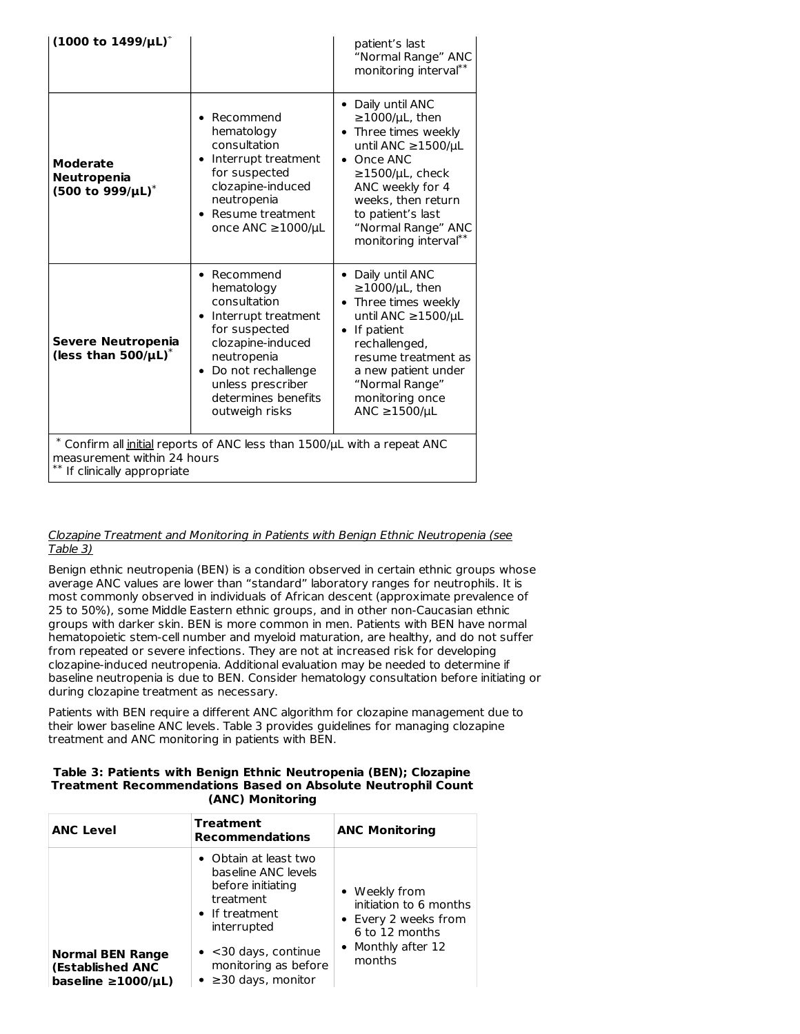| $(1000 \text{ to } 1499/\mu\text{L})^*$                                                                                                                                                                                                                                                                                                                                                                                                                                                                        |                                                                                                                                                                             | patient's last<br>"Normal Range" ANC<br>monitoring interval <sup>**</sup>                                                                                                                                                                               |  |  |  |
|----------------------------------------------------------------------------------------------------------------------------------------------------------------------------------------------------------------------------------------------------------------------------------------------------------------------------------------------------------------------------------------------------------------------------------------------------------------------------------------------------------------|-----------------------------------------------------------------------------------------------------------------------------------------------------------------------------|---------------------------------------------------------------------------------------------------------------------------------------------------------------------------------------------------------------------------------------------------------|--|--|--|
| <b>Moderate</b><br>Neutropenia<br>$(500 \text{ to } 999/\mu\text{L})^*$                                                                                                                                                                                                                                                                                                                                                                                                                                        | Recommend<br>hematology<br>consultation<br>Interrupt treatment<br>$\bullet$<br>for suspected<br>clozapine-induced<br>neutropenia<br>• Resume treatment<br>once ANC ≥1000/µL | • Daily until ANC<br>$\geq$ 1000/µL, then<br>• Three times weekly<br>until ANC ≥1500/µL<br>Once ANC<br>$\bullet$<br>$\geq$ 1500/µL, check<br>ANC weekly for 4<br>weeks, then return<br>to patient's last<br>"Normal Range" ANC<br>monitoring interval** |  |  |  |
| • Daily until ANC<br>• Recommend<br>$\geq$ 1000/µL, then<br>hematology<br>consultation<br>Three times weekly<br>until ANC ≥1500/µL<br>Interrupt treatment<br>$\bullet$<br>for suspected<br>• If patient<br>Severe Neutropenia<br>clozapine-induced<br>rechallenged,<br>(less than $500/\mu L$ )*<br>neutropenia<br>resume treatment as<br>• Do not rechallenge<br>a new patient under<br>unless prescriber<br>"Normal Range"<br>determines benefits<br>monitoring once<br>ANC $\geq$ 1500/µL<br>outweigh risks |                                                                                                                                                                             |                                                                                                                                                                                                                                                         |  |  |  |
| * Confirm all <i>initial</i> reports of ANC less than 1500/µL with a repeat ANC<br>measurement within 24 hours<br>If clinically appropriate                                                                                                                                                                                                                                                                                                                                                                    |                                                                                                                                                                             |                                                                                                                                                                                                                                                         |  |  |  |

### Clozapine Treatment and Monitoring in Patients with Benign Ethnic Neutropenia (see Table 3)

Benign ethnic neutropenia (BEN) is a condition observed in certain ethnic groups whose average ANC values are lower than "standard" laboratory ranges for neutrophils. It is most commonly observed in individuals of African descent (approximate prevalence of 25 to 50%), some Middle Eastern ethnic groups, and in other non-Caucasian ethnic groups with darker skin. BEN is more common in men. Patients with BEN have normal hematopoietic stem-cell number and myeloid maturation, are healthy, and do not suffer from repeated or severe infections. They are not at increased risk for developing clozapine-induced neutropenia. Additional evaluation may be needed to determine if baseline neutropenia is due to BEN. Consider hematology consultation before initiating or during clozapine treatment as necessary.

Patients with BEN require a different ANC algorithm for clozapine management due to their lower baseline ANC levels. Table 3 provides guidelines for managing clozapine treatment and ANC monitoring in patients with BEN.

#### **Table 3: Patients with Benign Ethnic Neutropenia (BEN); Clozapine Treatment Recommendations Based on Absolute Neutrophil Count (ANC) Monitoring**

| <b>ANC Level</b>                                                            | <b>Treatment</b><br><b>Recommendations</b>                                                                                                                                                                           | <b>ANC Monitoring</b>                                                                                             |
|-----------------------------------------------------------------------------|----------------------------------------------------------------------------------------------------------------------------------------------------------------------------------------------------------------------|-------------------------------------------------------------------------------------------------------------------|
| <b>Normal BEN Range</b><br>(Established ANC<br>baseline $\geq 1000/\mu L$ ) | $\bullet$ Obtain at least two<br>baseline ANC levels<br>before initiating<br>treatment<br>• If treatment<br>interrupted<br>$\bullet$ <30 days, continue<br>monitoring as before<br>$\bullet$ $\geq$ 30 days, monitor | • Weekly from<br>initiation to 6 months<br>• Every 2 weeks from<br>6 to 12 months<br>• Monthly after 12<br>months |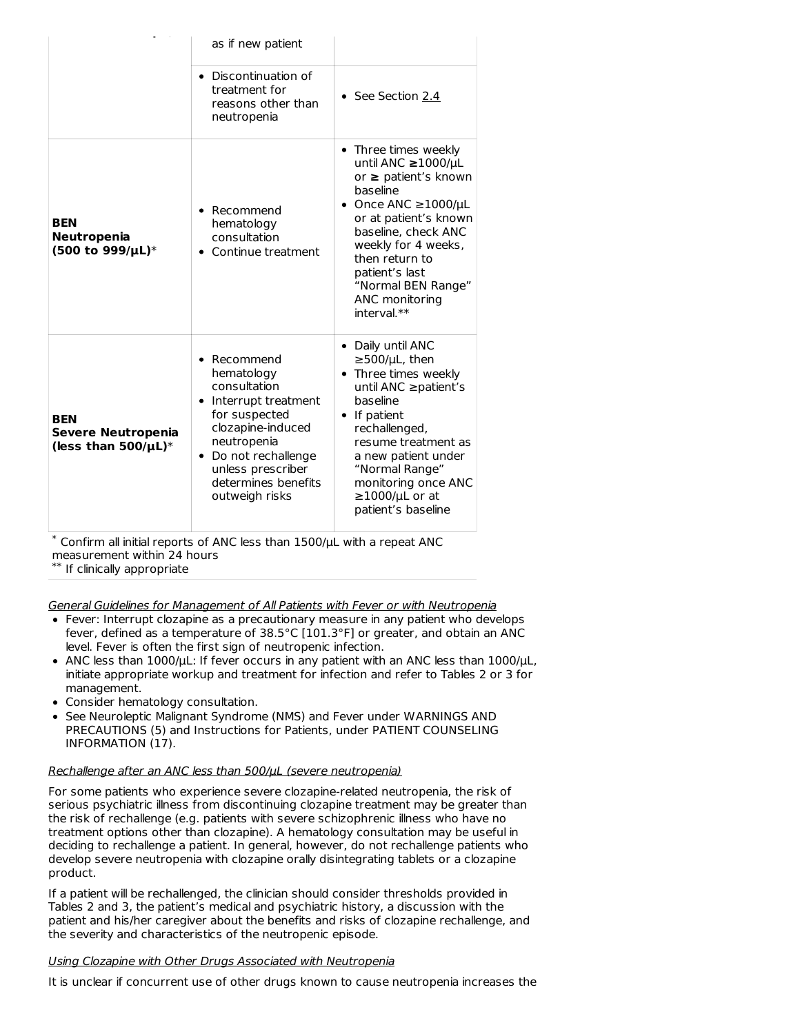|                                                               | as if new patient                                                                                                                                                                                              |                                                                                                                                                                                                                                                                                  |
|---------------------------------------------------------------|----------------------------------------------------------------------------------------------------------------------------------------------------------------------------------------------------------------|----------------------------------------------------------------------------------------------------------------------------------------------------------------------------------------------------------------------------------------------------------------------------------|
|                                                               | • Discontinuation of<br>treatment for<br>reasons other than<br>neutropenia                                                                                                                                     | • See Section 2.4                                                                                                                                                                                                                                                                |
| <b>BEN</b><br>Neutropenia<br>(500 to 999/µL)*                 | Recommend<br>hematology<br>consultation<br>Continue treatment                                                                                                                                                  | Three times weekly<br>until ANC ≥1000/µL<br>or $\geq$ patient's known<br>baseline<br>• Once ANC $\geq$ 1000/µL<br>or at patient's known<br>baseline, check ANC<br>weekly for 4 weeks.<br>then return to<br>patient's last<br>"Normal BEN Range"<br>ANC monitoring<br>interval.** |
| <b>BEN</b><br>Severe Neutropenia<br>(less than $500/\mu L$ )* | • Recommend<br>hematology<br>consultation<br>Interrupt treatment<br>for suspected<br>clozapine-induced<br>neutropenia<br>Do not rechallenge<br>٠<br>unless prescriber<br>determines benefits<br>outweigh risks | • Daily until ANC<br>$\geq$ 500/µL, then<br>Three times weekly<br>until ANC ≥patient's<br>baseline<br>• If patient<br>rechallenged,<br>resume treatment as<br>a new patient under<br>"Normal Range"<br>monitoring once ANC<br>$\geq$ 1000/µL or at<br>patient's baseline         |

 $*$  Confirm all initial reports of ANC less than 1500/ $\mu$ L with a repeat ANC measurement within 24 hours

 $^{\ast\ast}$  If clinically appropriate

General Guidelines for Management of All Patients with Fever or with Neutropenia

- Fever: Interrupt clozapine as a precautionary measure in any patient who develops fever, defined as a temperature of 38.5°C [101.3°F] or greater, and obtain an ANC level. Fever is often the first sign of neutropenic infection.
- ANC less than 1000/μL: If fever occurs in any patient with an ANC less than 1000/μL, initiate appropriate workup and treatment for infection and refer to Tables 2 or 3 for management.
- Consider hematology consultation.
- See Neuroleptic Malignant Syndrome (NMS) and Fever under WARNINGS AND PRECAUTIONS (5) and Instructions for Patients, under PATIENT COUNSELING INFORMATION (17).

### Rechallenge after an ANC less than 500/μL (severe neutropenia)

For some patients who experience severe clozapine-related neutropenia, the risk of serious psychiatric illness from discontinuing clozapine treatment may be greater than the risk of rechallenge (e.g. patients with severe schizophrenic illness who have no treatment options other than clozapine). A hematology consultation may be useful in deciding to rechallenge a patient. In general, however, do not rechallenge patients who develop severe neutropenia with clozapine orally disintegrating tablets or a clozapine product.

If a patient will be rechallenged, the clinician should consider thresholds provided in Tables 2 and 3, the patient's medical and psychiatric history, a discussion with the patient and his/her caregiver about the benefits and risks of clozapine rechallenge, and the severity and characteristics of the neutropenic episode.

### Using Clozapine with Other Drugs Associated with Neutropenia

It is unclear if concurrent use of other drugs known to cause neutropenia increases the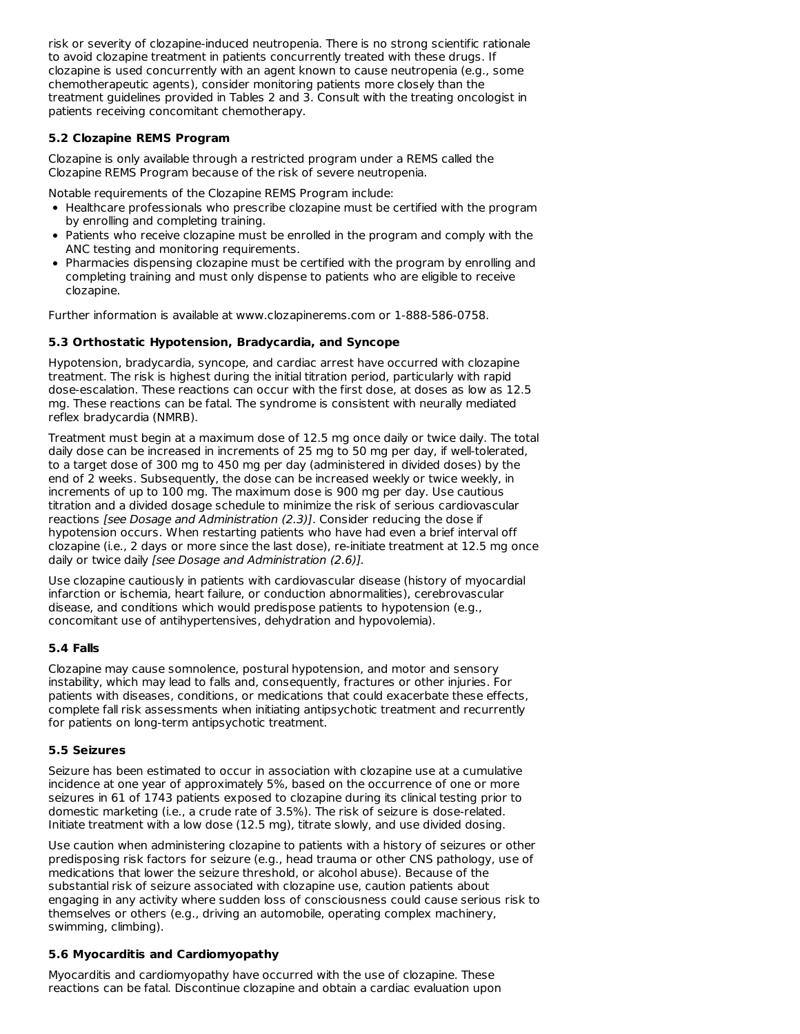risk or severity of clozapine-induced neutropenia. There is no strong scientific rationale to avoid clozapine treatment in patients concurrently treated with these drugs. If clozapine is used concurrently with an agent known to cause neutropenia (e.g., some chemotherapeutic agents), consider monitoring patients more closely than the treatment guidelines provided in Tables 2 and 3. Consult with the treating oncologist in patients receiving concomitant chemotherapy.

# **5.2 Clozapine REMS Program**

Clozapine is only available through a restricted program under a REMS called the Clozapine REMS Program because of the risk of severe neutropenia.

Notable requirements of the Clozapine REMS Program include:

- Healthcare professionals who prescribe clozapine must be certified with the program by enrolling and completing training.
- Patients who receive clozapine must be enrolled in the program and comply with the ANC testing and monitoring requirements.
- Pharmacies dispensing clozapine must be certified with the program by enrolling and completing training and must only dispense to patients who are eligible to receive clozapine.

Further information is available at www.clozapinerems.com or 1-888-586-0758.

### **5.3 Orthostatic Hypotension, Bradycardia, and Syncope**

Hypotension, bradycardia, syncope, and cardiac arrest have occurred with clozapine treatment. The risk is highest during the initial titration period, particularly with rapid dose-escalation. These reactions can occur with the first dose, at doses as low as 12.5 mg. These reactions can be fatal. The syndrome is consistent with neurally mediated reflex bradycardia (NMRB).

Treatment must begin at a maximum dose of 12.5 mg once daily or twice daily. The total daily dose can be increased in increments of 25 mg to 50 mg per day, if well-tolerated, to a target dose of 300 mg to 450 mg per day (administered in divided doses) by the end of 2 weeks. Subsequently, the dose can be increased weekly or twice weekly, in increments of up to 100 mg. The maximum dose is 900 mg per day. Use cautious titration and a divided dosage schedule to minimize the risk of serious cardiovascular reactions [see Dosage and Administration (2.3)]. Consider reducing the dose if hypotension occurs. When restarting patients who have had even a brief interval off clozapine (i.e., 2 days or more since the last dose), re-initiate treatment at 12.5 mg once daily or twice daily [see Dosage and Administration (2.6)].

Use clozapine cautiously in patients with cardiovascular disease (history of myocardial infarction or ischemia, heart failure, or conduction abnormalities), cerebrovascular disease, and conditions which would predispose patients to hypotension (e.g., concomitant use of antihypertensives, dehydration and hypovolemia).

### **5.4 Falls**

Clozapine may cause somnolence, postural hypotension, and motor and sensory instability, which may lead to falls and, consequently, fractures or other injuries. For patients with diseases, conditions, or medications that could exacerbate these effects, complete fall risk assessments when initiating antipsychotic treatment and recurrently for patients on long-term antipsychotic treatment.

### **5.5 Seizures**

Seizure has been estimated to occur in association with clozapine use at a cumulative incidence at one year of approximately 5%, based on the occurrence of one or more seizures in 61 of 1743 patients exposed to clozapine during its clinical testing prior to domestic marketing (i.e., a crude rate of 3.5%). The risk of seizure is dose-related. Initiate treatment with a low dose (12.5 mg), titrate slowly, and use divided dosing.

Use caution when administering clozapine to patients with a history of seizures or other predisposing risk factors for seizure (e.g., head trauma or other CNS pathology, use of medications that lower the seizure threshold, or alcohol abuse). Because of the substantial risk of seizure associated with clozapine use, caution patients about engaging in any activity where sudden loss of consciousness could cause serious risk to themselves or others (e.g., driving an automobile, operating complex machinery, swimming, climbing).

### **5.6 Myocarditis and Cardiomyopathy**

Myocarditis and cardiomyopathy have occurred with the use of clozapine. These reactions can be fatal. Discontinue clozapine and obtain a cardiac evaluation upon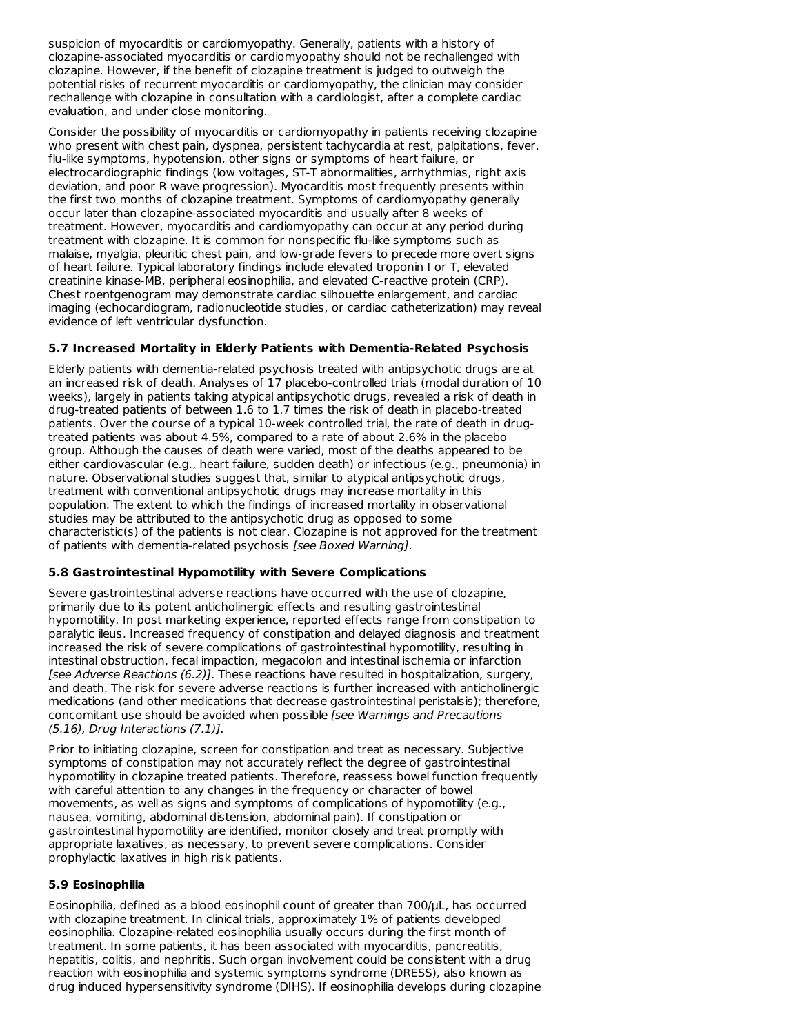suspicion of myocarditis or cardiomyopathy. Generally, patients with a history of clozapine-associated myocarditis or cardiomyopathy should not be rechallenged with clozapine. However, if the benefit of clozapine treatment is judged to outweigh the potential risks of recurrent myocarditis or cardiomyopathy, the clinician may consider rechallenge with clozapine in consultation with a cardiologist, after a complete cardiac evaluation, and under close monitoring.

Consider the possibility of myocarditis or cardiomyopathy in patients receiving clozapine who present with chest pain, dyspnea, persistent tachycardia at rest, palpitations, fever, flu-like symptoms, hypotension, other signs or symptoms of heart failure, or electrocardiographic findings (low voltages, ST-T abnormalities, arrhythmias, right axis deviation, and poor R wave progression). Myocarditis most frequently presents within the first two months of clozapine treatment. Symptoms of cardiomyopathy generally occur later than clozapine-associated myocarditis and usually after 8 weeks of treatment. However, myocarditis and cardiomyopathy can occur at any period during treatment with clozapine. It is common for nonspecific flu-like symptoms such as malaise, myalgia, pleuritic chest pain, and low-grade fevers to precede more overt signs of heart failure. Typical laboratory findings include elevated troponin I or T, elevated creatinine kinase-MB, peripheral eosinophilia, and elevated C-reactive protein (CRP). Chest roentgenogram may demonstrate cardiac silhouette enlargement, and cardiac imaging (echocardiogram, radionucleotide studies, or cardiac catheterization) may reveal evidence of left ventricular dysfunction.

# **5.7 Increased Mortality in Elderly Patients with Dementia-Related Psychosis**

Elderly patients with dementia-related psychosis treated with antipsychotic drugs are at an increased risk of death. Analyses of 17 placebo-controlled trials (modal duration of 10 weeks), largely in patients taking atypical antipsychotic drugs, revealed a risk of death in drug-treated patients of between 1.6 to 1.7 times the risk of death in placebo-treated patients. Over the course of a typical 10-week controlled trial, the rate of death in drugtreated patients was about 4.5%, compared to a rate of about 2.6% in the placebo group. Although the causes of death were varied, most of the deaths appeared to be either cardiovascular (e.g., heart failure, sudden death) or infectious (e.g., pneumonia) in nature. Observational studies suggest that, similar to atypical antipsychotic drugs, treatment with conventional antipsychotic drugs may increase mortality in this population. The extent to which the findings of increased mortality in observational studies may be attributed to the antipsychotic drug as opposed to some characteristic(s) of the patients is not clear. Clozapine is not approved for the treatment of patients with dementia-related psychosis [see Boxed Warning].

### **5.8 Gastrointestinal Hypomotility with Severe Complications**

Severe gastrointestinal adverse reactions have occurred with the use of clozapine, primarily due to its potent anticholinergic effects and resulting gastrointestinal hypomotility. In post marketing experience, reported effects range from constipation to paralytic ileus. Increased frequency of constipation and delayed diagnosis and treatment increased the risk of severe complications of gastrointestinal hypomotility, resulting in intestinal obstruction, fecal impaction, megacolon and intestinal ischemia or infarction [see Adverse Reactions (6.2)]. These reactions have resulted in hospitalization, surgery, and death. The risk for severe adverse reactions is further increased with anticholinergic medications (and other medications that decrease gastrointestinal peristalsis); therefore, concomitant use should be avoided when possible [see Warnings and Precautions (5.16), Drug Interactions (7.1)].

Prior to initiating clozapine, screen for constipation and treat as necessary. Subjective symptoms of constipation may not accurately reflect the degree of gastrointestinal hypomotility in clozapine treated patients. Therefore, reassess bowel function frequently with careful attention to any changes in the frequency or character of bowel movements, as well as signs and symptoms of complications of hypomotility (e.g., nausea, vomiting, abdominal distension, abdominal pain). If constipation or gastrointestinal hypomotility are identified, monitor closely and treat promptly with appropriate laxatives, as necessary, to prevent severe complications. Consider prophylactic laxatives in high risk patients.

### **5.9 Eosinophilia**

Eosinophilia, defined as a blood eosinophil count of greater than 700/μL, has occurred with clozapine treatment. In clinical trials, approximately 1% of patients developed eosinophilia. Clozapine-related eosinophilia usually occurs during the first month of treatment. In some patients, it has been associated with myocarditis, pancreatitis, hepatitis, colitis, and nephritis. Such organ involvement could be consistent with a drug reaction with eosinophilia and systemic symptoms syndrome (DRESS), also known as drug induced hypersensitivity syndrome (DIHS). If eosinophilia develops during clozapine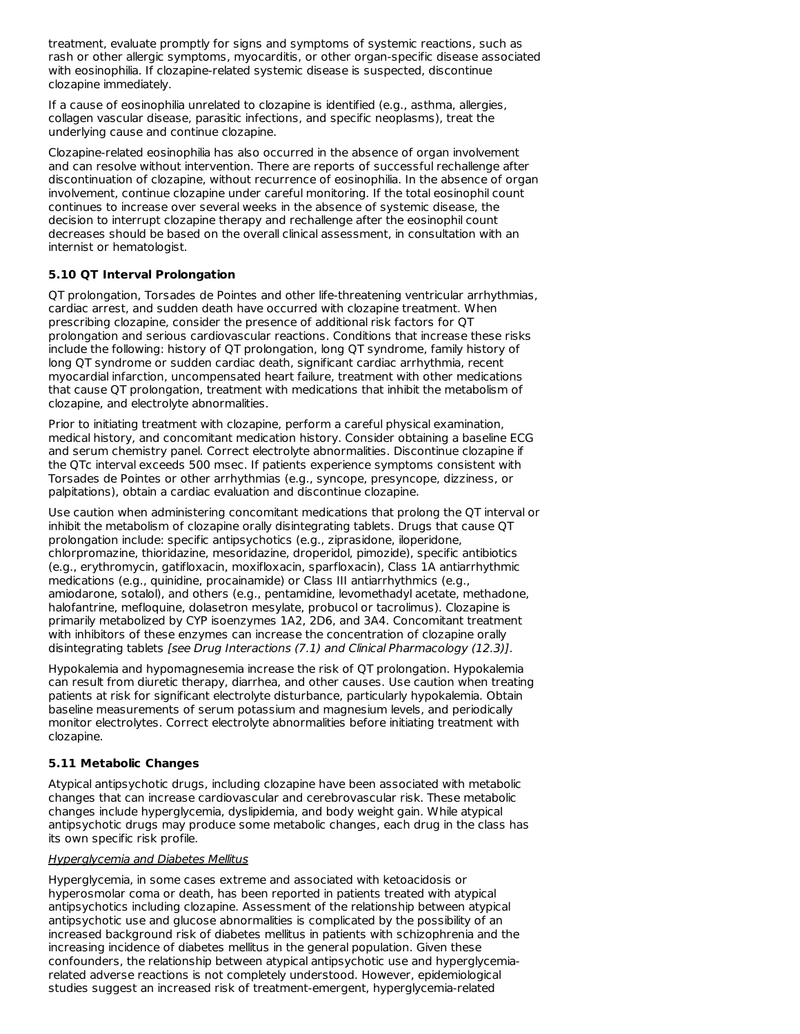treatment, evaluate promptly for signs and symptoms of systemic reactions, such as rash or other allergic symptoms, myocarditis, or other organ-specific disease associated with eosinophilia. If clozapine-related systemic disease is suspected, discontinue clozapine immediately.

If a cause of eosinophilia unrelated to clozapine is identified (e.g., asthma, allergies, collagen vascular disease, parasitic infections, and specific neoplasms), treat the underlying cause and continue clozapine.

Clozapine-related eosinophilia has also occurred in the absence of organ involvement and can resolve without intervention. There are reports of successful rechallenge after discontinuation of clozapine, without recurrence of eosinophilia. In the absence of organ involvement, continue clozapine under careful monitoring. If the total eosinophil count continues to increase over several weeks in the absence of systemic disease, the decision to interrupt clozapine therapy and rechallenge after the eosinophil count decreases should be based on the overall clinical assessment, in consultation with an internist or hematologist.

### **5.10 QT Interval Prolongation**

QT prolongation, Torsades de Pointes and other life-threatening ventricular arrhythmias, cardiac arrest, and sudden death have occurred with clozapine treatment. When prescribing clozapine, consider the presence of additional risk factors for QT prolongation and serious cardiovascular reactions. Conditions that increase these risks include the following: history of QT prolongation, long QT syndrome, family history of long QT syndrome or sudden cardiac death, significant cardiac arrhythmia, recent myocardial infarction, uncompensated heart failure, treatment with other medications that cause QT prolongation, treatment with medications that inhibit the metabolism of clozapine, and electrolyte abnormalities.

Prior to initiating treatment with clozapine, perform a careful physical examination, medical history, and concomitant medication history. Consider obtaining a baseline ECG and serum chemistry panel. Correct electrolyte abnormalities. Discontinue clozapine if the QTc interval exceeds 500 msec. If patients experience symptoms consistent with Torsades de Pointes or other arrhythmias (e.g., syncope, presyncope, dizziness, or palpitations), obtain a cardiac evaluation and discontinue clozapine.

Use caution when administering concomitant medications that prolong the QT interval or inhibit the metabolism of clozapine orally disintegrating tablets. Drugs that cause QT prolongation include: specific antipsychotics (e.g., ziprasidone, iloperidone, chlorpromazine, thioridazine, mesoridazine, droperidol, pimozide), specific antibiotics (e.g., erythromycin, gatifloxacin, moxifloxacin, sparfloxacin), Class 1A antiarrhythmic medications (e.g., quinidine, procainamide) or Class III antiarrhythmics (e.g., amiodarone, sotalol), and others (e.g., pentamidine, levomethadyl acetate, methadone, halofantrine, mefloquine, dolasetron mesylate, probucol or tacrolimus). Clozapine is primarily metabolized by CYP isoenzymes 1A2, 2D6, and 3A4. Concomitant treatment with inhibitors of these enzymes can increase the concentration of clozapine orally disintegrating tablets [see Drug Interactions (7.1) and Clinical Pharmacology (12.3)].

Hypokalemia and hypomagnesemia increase the risk of QT prolongation. Hypokalemia can result from diuretic therapy, diarrhea, and other causes. Use caution when treating patients at risk for significant electrolyte disturbance, particularly hypokalemia. Obtain baseline measurements of serum potassium and magnesium levels, and periodically monitor electrolytes. Correct electrolyte abnormalities before initiating treatment with clozapine.

### **5.11 Metabolic Changes**

Atypical antipsychotic drugs, including clozapine have been associated with metabolic changes that can increase cardiovascular and cerebrovascular risk. These metabolic changes include hyperglycemia, dyslipidemia, and body weight gain. While atypical antipsychotic drugs may produce some metabolic changes, each drug in the class has its own specific risk profile.

### **Hyperglycemia and Diabetes Mellitus**

Hyperglycemia, in some cases extreme and associated with ketoacidosis or hyperosmolar coma or death, has been reported in patients treated with atypical antipsychotics including clozapine. Assessment of the relationship between atypical antipsychotic use and glucose abnormalities is complicated by the possibility of an increased background risk of diabetes mellitus in patients with schizophrenia and the increasing incidence of diabetes mellitus in the general population. Given these confounders, the relationship between atypical antipsychotic use and hyperglycemiarelated adverse reactions is not completely understood. However, epidemiological studies suggest an increased risk of treatment-emergent, hyperglycemia-related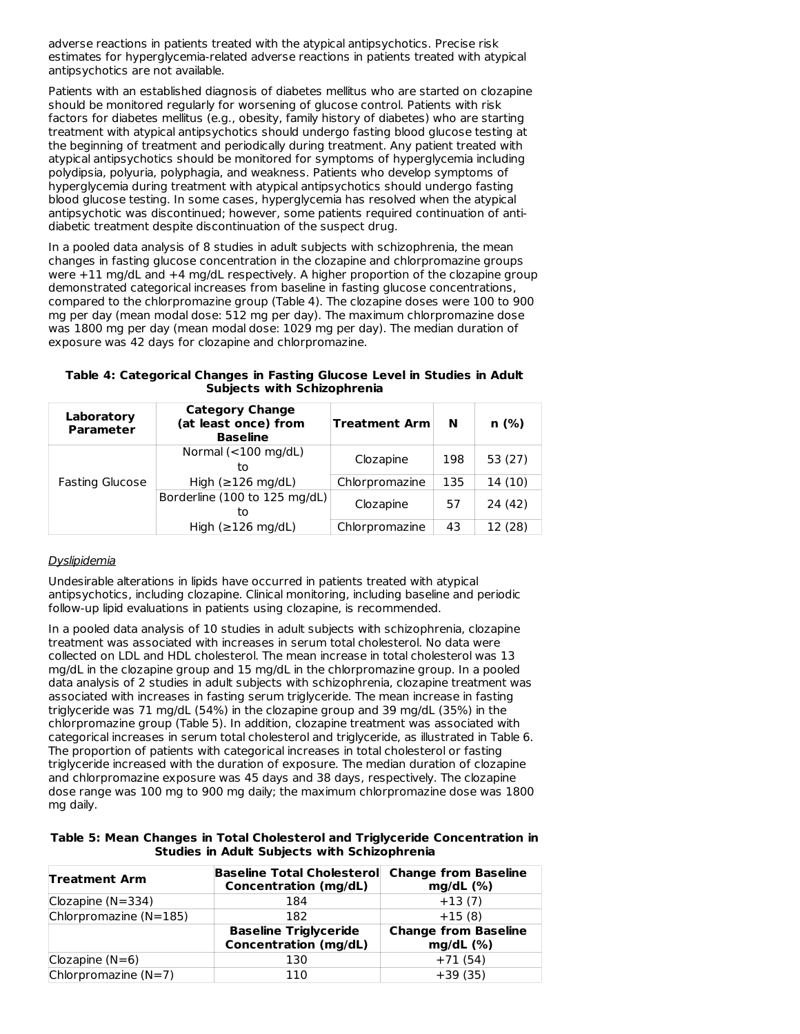adverse reactions in patients treated with the atypical antipsychotics. Precise risk estimates for hyperglycemia-related adverse reactions in patients treated with atypical antipsychotics are not available.

Patients with an established diagnosis of diabetes mellitus who are started on clozapine should be monitored regularly for worsening of glucose control. Patients with risk factors for diabetes mellitus (e.g., obesity, family history of diabetes) who are starting treatment with atypical antipsychotics should undergo fasting blood glucose testing at the beginning of treatment and periodically during treatment. Any patient treated with atypical antipsychotics should be monitored for symptoms of hyperglycemia including polydipsia, polyuria, polyphagia, and weakness. Patients who develop symptoms of hyperglycemia during treatment with atypical antipsychotics should undergo fasting blood glucose testing. In some cases, hyperglycemia has resolved when the atypical antipsychotic was discontinued; however, some patients required continuation of antidiabetic treatment despite discontinuation of the suspect drug.

In a pooled data analysis of 8 studies in adult subjects with schizophrenia, the mean changes in fasting glucose concentration in the clozapine and chlorpromazine groups were +11 mg/dL and +4 mg/dL respectively. A higher proportion of the clozapine group demonstrated categorical increases from baseline in fasting glucose concentrations, compared to the chlorpromazine group (Table 4). The clozapine doses were 100 to 900 mg per day (mean modal dose: 512 mg per day). The maximum chlorpromazine dose was 1800 mg per day (mean modal dose: 1029 mg per day). The median duration of exposure was 42 days for clozapine and chlorpromazine.

**Table 4: Categorical Changes in Fasting Glucose Level in Studies in Adult Subjects with Schizophrenia**

| Laboratory<br><b>Parameter</b> | <b>Category Change</b><br>(at least once) from<br><b>Baseline</b> | <b>Treatment Arm</b> | N   | n(%)    |
|--------------------------------|-------------------------------------------------------------------|----------------------|-----|---------|
|                                | Normal $(<100$ mg/dL)<br>to                                       | Clozapine            | 198 | 53 (27) |
| <b>Fasting Glucose</b>         | High ( $\geq$ 126 mg/dL)                                          | Chlorpromazine       | 135 | 14 (10) |
|                                | Borderline (100 to 125 mg/dL)<br>to                               | Clozapine            | 57  | 24 (42) |
|                                | High $(\geq 126 \text{ mg/dL})$                                   | Chlorpromazine       | 43  | 12 (28) |

# Dyslipidemia

Undesirable alterations in lipids have occurred in patients treated with atypical antipsychotics, including clozapine. Clinical monitoring, including baseline and periodic follow-up lipid evaluations in patients using clozapine, is recommended.

In a pooled data analysis of 10 studies in adult subjects with schizophrenia, clozapine treatment was associated with increases in serum total cholesterol. No data were collected on LDL and HDL cholesterol. The mean increase in total cholesterol was 13 mg/dL in the clozapine group and 15 mg/dL in the chlorpromazine group. In a pooled data analysis of 2 studies in adult subjects with schizophrenia, clozapine treatment was associated with increases in fasting serum triglyceride. The mean increase in fasting triglyceride was 71 mg/dL (54%) in the clozapine group and 39 mg/dL (35%) in the chlorpromazine group (Table 5). In addition, clozapine treatment was associated with categorical increases in serum total cholesterol and triglyceride, as illustrated in Table 6. The proportion of patients with categorical increases in total cholesterol or fasting triglyceride increased with the duration of exposure. The median duration of clozapine and chlorpromazine exposure was 45 days and 38 days, respectively. The clozapine dose range was 100 mg to 900 mg daily; the maximum chlorpromazine dose was 1800 mg daily.

**Table 5: Mean Changes in Total Cholesterol and Triglyceride Concentration in Studies in Adult Subjects with Schizophrenia**

| <b>Treatment Arm</b>   | <b>Baseline Total Cholesterol</b><br><b>Concentration (mg/dL)</b> | <b>Change from Baseline</b><br>mg/dL (%)   |
|------------------------|-------------------------------------------------------------------|--------------------------------------------|
| Clozapine $(N=334)$    | 184                                                               | $+13(7)$                                   |
| Chlorpromazine (N=185) | 182                                                               | $+15(8)$                                   |
|                        | <b>Baseline Triglyceride</b><br><b>Concentration (mg/dL)</b>      | <b>Change from Baseline</b><br>$mg/dL$ (%) |
| Clozapine $(N=6)$      | 130                                                               | $+71(54)$                                  |
| Chlorpromazine $(N=7)$ | 110                                                               | $+39(35)$                                  |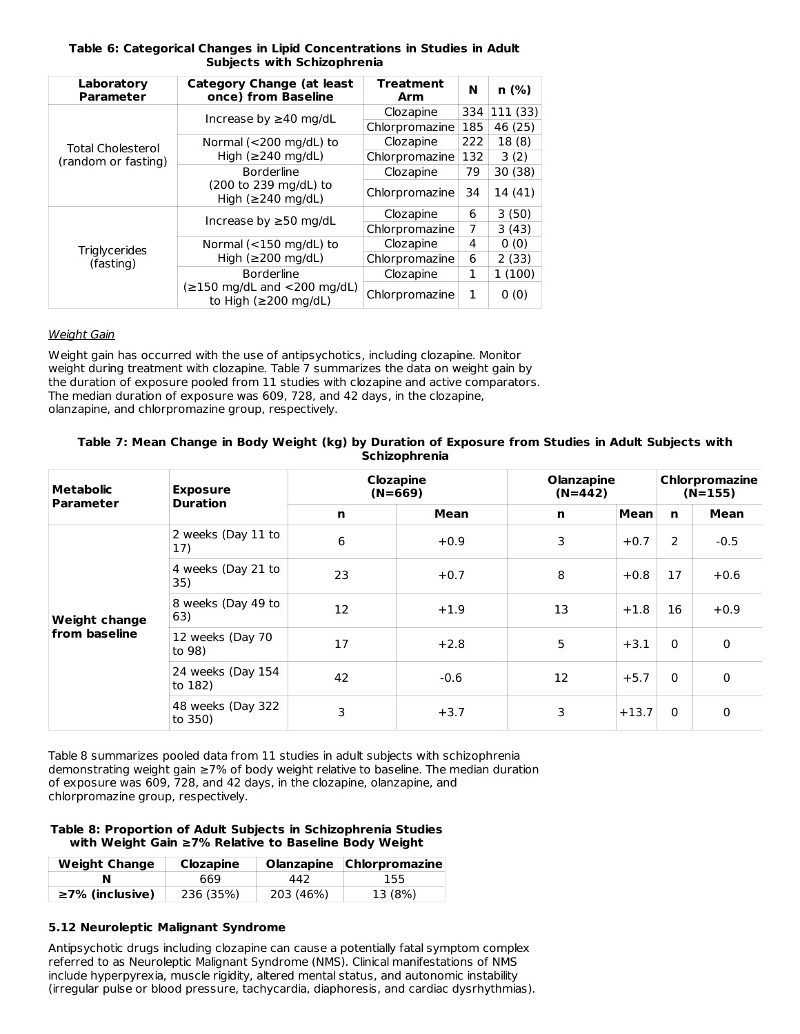### **Table 6: Categorical Changes in Lipid Concentrations in Studies in Adult Subjects with Schizophrenia**

| Laboratory<br><b>Parameter</b> | <b>Category Change (at least</b><br>once) from Baseline                                    | Treatment<br>Arm | N   | n(%)    |
|--------------------------------|--------------------------------------------------------------------------------------------|------------------|-----|---------|
|                                | Increase by $\geq$ 40 mg/dL                                                                | Clozapine        | 334 | 111(33) |
|                                |                                                                                            | Chlorpromazine   | 185 | 46 (25) |
| <b>Total Cholesterol</b>       | Normal ( $<$ 200 mg/dL) to                                                                 | Clozapine        | 222 | 18(8)   |
| (random or fasting)            | High $(\geq 240 \text{ mg/dL})$                                                            | Chlorpromazine   | 132 | 3(2)    |
|                                | <b>Borderline</b>                                                                          | Clozapine        | 79  | 30 (38) |
|                                | (200 to 239 mg/dL) to<br>High $(\geq 240 \text{ mg/dL})$                                   | Chlorpromazine   | 34  | 14 (41) |
|                                | Increase by $\geq$ 50 mg/dL                                                                | Clozapine        | 6   | 3(50)   |
|                                |                                                                                            | Chlorpromazine   | 7   | 3(43)   |
| <b>Triglycerides</b>           | Normal ( $<$ 150 mg/dL) to                                                                 | Clozapine        | 4   | 0(0)    |
| (fasting)                      | High $(\geq 200 \text{ mg/dL})$                                                            | Chlorpromazine   | 6   | 2(33)   |
|                                | <b>Borderline</b>                                                                          | Clozapine        | 1   | 1(100)  |
|                                | $(\geq 150 \text{ mg/dL} \text{ and } < 200 \text{ mg/dL})$<br>to High ( $\geq$ 200 mg/dL) | Chlorpromazine   | 1   | 0(0)    |

### Weight Gain

Weight gain has occurred with the use of antipsychotics, including clozapine. Monitor weight during treatment with clozapine. Table 7 summarizes the data on weight gain by the duration of exposure pooled from 11 studies with clozapine and active comparators. The median duration of exposure was 609, 728, and 42 days, in the clozapine, olanzapine, and chlorpromazine group, respectively.

### Table 7: Mean Change in Body Weight (kg) by Duration of Exposure from Studies in Adult Subjects with **Schizophrenia**

| Metabolic                             | <b>Exposure</b><br><b>Duration</b> | Clozapine<br>$(N=669)$ |        | <b>Olanzapine</b><br>$(N=442)$ |         | Chlorpromazine<br>$(N=155)$ |              |
|---------------------------------------|------------------------------------|------------------------|--------|--------------------------------|---------|-----------------------------|--------------|
| <b>Parameter</b>                      |                                    | $\mathbf n$            | Mean   | $\mathbf n$                    | Mean    | $\mathbf n$                 | Mean         |
| <b>Weight change</b><br>from baseline | 2 weeks (Day 11 to<br>17)          | 6                      | $+0.9$ | 3                              | $+0.7$  | 2                           | $-0.5$       |
|                                       | 4 weeks (Day 21 to<br>35)          | 23                     | $+0.7$ | 8                              | $+0.8$  | 17                          | $+0.6$       |
|                                       | 8 weeks (Day 49 to<br>63)          | 12                     | $+1.9$ | 13                             | $+1.8$  | 16                          | $+0.9$       |
|                                       | 12 weeks (Day 70<br>to 98)         | 17                     | $+2.8$ | 5                              | $+3.1$  | $\Omega$                    | $\mathbf{0}$ |
|                                       | 24 weeks (Day 154<br>to 182)       | 42                     | $-0.6$ | 12                             | $+5.7$  | $\Omega$                    | $\Omega$     |
|                                       | 48 weeks (Day 322<br>to 350)       | 3                      | $+3.7$ | 3                              | $+13.7$ | $\mathbf{0}$                | $\Omega$     |

Table 8 summarizes pooled data from 11 studies in adult subjects with schizophrenia demonstrating weight gain ≥7% of body weight relative to baseline. The median duration of exposure was 609, 728, and 42 days, in the clozapine, olanzapine, and chlorpromazine group, respectively.

### **Table 8: Proportion of Adult Subjects in Schizophrenia Studies with Weight Gain ≥7% Relative to Baseline Body Weight**

| <b>Weight Change</b>  | Clozapine |           | Olanzapine Chlorpromazine |
|-----------------------|-----------|-----------|---------------------------|
|                       | 669       | 442       | 155                       |
| $\geq$ 7% (inclusive) | 236 (35%) | 203 (46%) | 13 (8%)                   |

# **5.12 Neuroleptic Malignant Syndrome**

Antipsychotic drugs including clozapine can cause a potentially fatal symptom complex referred to as Neuroleptic Malignant Syndrome (NMS). Clinical manifestations of NMS include hyperpyrexia, muscle rigidity, altered mental status, and autonomic instability (irregular pulse or blood pressure, tachycardia, diaphoresis, and cardiac dysrhythmias).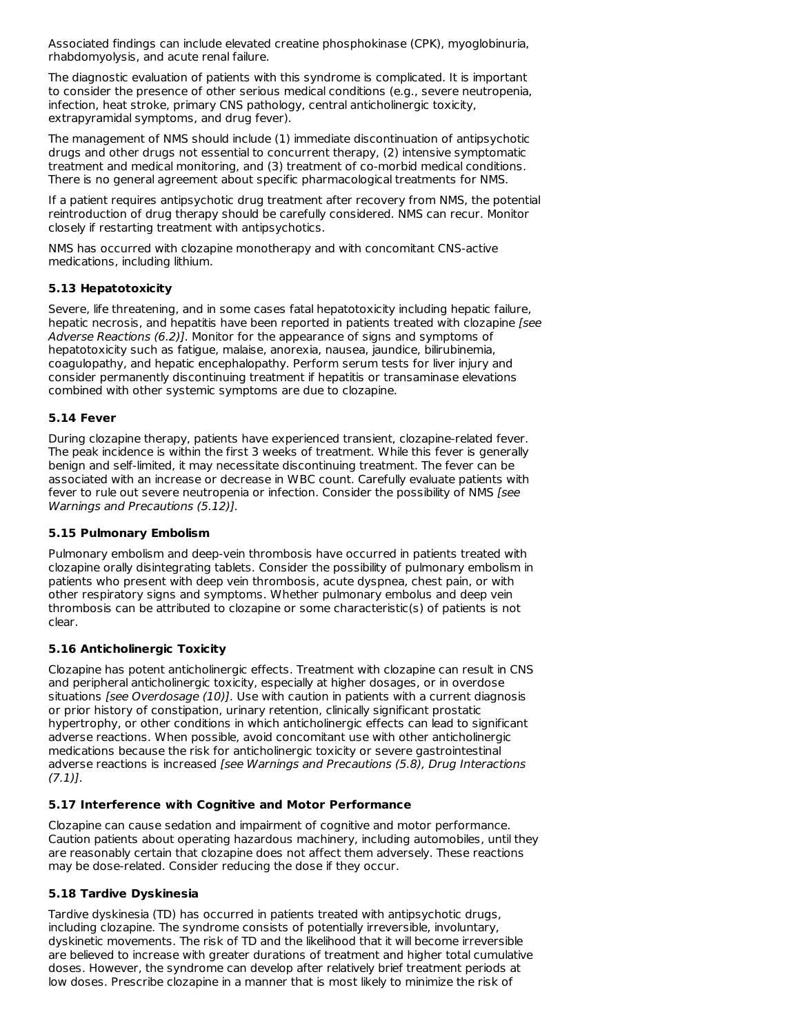Associated findings can include elevated creatine phosphokinase (CPK), myoglobinuria, rhabdomyolysis, and acute renal failure.

The diagnostic evaluation of patients with this syndrome is complicated. It is important to consider the presence of other serious medical conditions (e.g., severe neutropenia, infection, heat stroke, primary CNS pathology, central anticholinergic toxicity, extrapyramidal symptoms, and drug fever).

The management of NMS should include (1) immediate discontinuation of antipsychotic drugs and other drugs not essential to concurrent therapy, (2) intensive symptomatic treatment and medical monitoring, and (3) treatment of co-morbid medical conditions. There is no general agreement about specific pharmacological treatments for NMS.

If a patient requires antipsychotic drug treatment after recovery from NMS, the potential reintroduction of drug therapy should be carefully considered. NMS can recur. Monitor closely if restarting treatment with antipsychotics.

NMS has occurred with clozapine monotherapy and with concomitant CNS-active medications, including lithium.

# **5.13 Hepatotoxicity**

Severe, life threatening, and in some cases fatal hepatotoxicity including hepatic failure, hepatic necrosis, and hepatitis have been reported in patients treated with clozapine [see Adverse Reactions (6.2)]. Monitor for the appearance of signs and symptoms of hepatotoxicity such as fatigue, malaise, anorexia, nausea, jaundice, bilirubinemia, coagulopathy, and hepatic encephalopathy. Perform serum tests for liver injury and consider permanently discontinuing treatment if hepatitis or transaminase elevations combined with other systemic symptoms are due to clozapine.

# **5.14 Fever**

During clozapine therapy, patients have experienced transient, clozapine-related fever. The peak incidence is within the first 3 weeks of treatment. While this fever is generally benign and self-limited, it may necessitate discontinuing treatment. The fever can be associated with an increase or decrease in WBC count. Carefully evaluate patients with fever to rule out severe neutropenia or infection. Consider the possibility of NMS [see Warnings and Precautions (5.12)].

# **5.15 Pulmonary Embolism**

Pulmonary embolism and deep-vein thrombosis have occurred in patients treated with clozapine orally disintegrating tablets. Consider the possibility of pulmonary embolism in patients who present with deep vein thrombosis, acute dyspnea, chest pain, or with other respiratory signs and symptoms. Whether pulmonary embolus and deep vein thrombosis can be attributed to clozapine or some characteristic(s) of patients is not clear.

# **5.16 Anticholinergic Toxicity**

Clozapine has potent anticholinergic effects. Treatment with clozapine can result in CNS and peripheral anticholinergic toxicity, especially at higher dosages, or in overdose situations [see Overdosage (10)]. Use with caution in patients with a current diagnosis or prior history of constipation, urinary retention, clinically significant prostatic hypertrophy, or other conditions in which anticholinergic effects can lead to significant adverse reactions. When possible, avoid concomitant use with other anticholinergic medications because the risk for anticholinergic toxicity or severe gastrointestinal adverse reactions is increased [see Warnings and Precautions (5.8), Drug Interactions (7.1)].

# **5.17 Interference with Cognitive and Motor Performance**

Clozapine can cause sedation and impairment of cognitive and motor performance. Caution patients about operating hazardous machinery, including automobiles, until they are reasonably certain that clozapine does not affect them adversely. These reactions may be dose-related. Consider reducing the dose if they occur.

# **5.18 Tardive Dyskinesia**

Tardive dyskinesia (TD) has occurred in patients treated with antipsychotic drugs, including clozapine. The syndrome consists of potentially irreversible, involuntary, dyskinetic movements. The risk of TD and the likelihood that it will become irreversible are believed to increase with greater durations of treatment and higher total cumulative doses. However, the syndrome can develop after relatively brief treatment periods at low doses. Prescribe clozapine in a manner that is most likely to minimize the risk of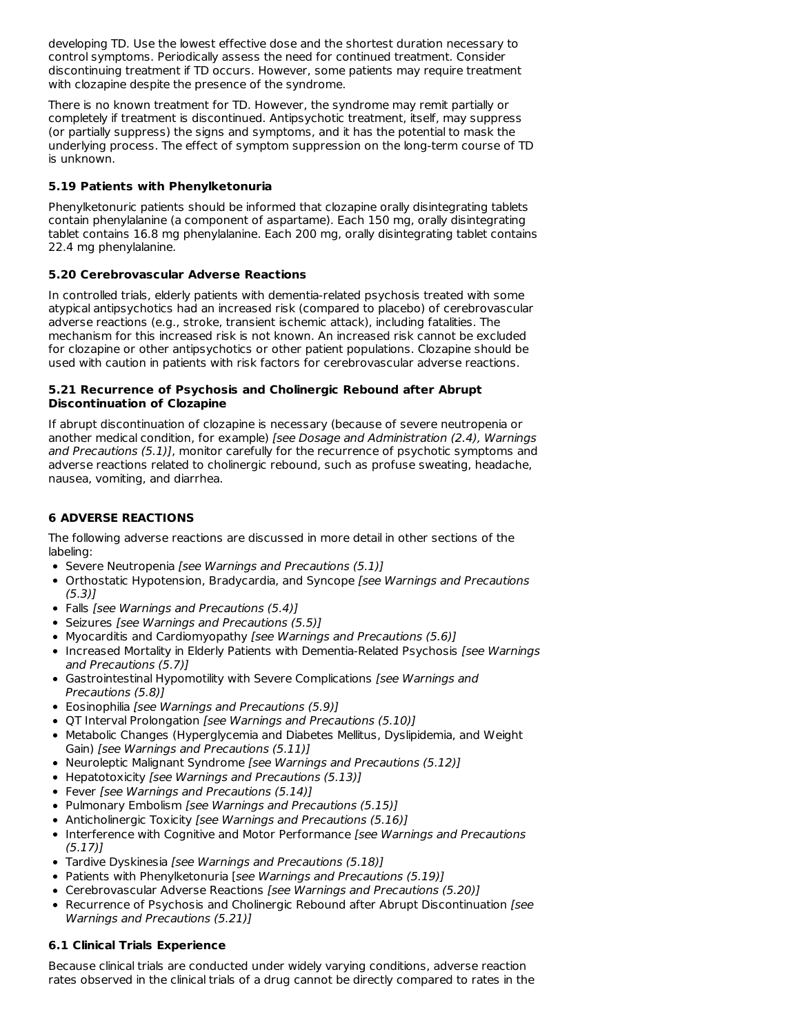developing TD. Use the lowest effective dose and the shortest duration necessary to control symptoms. Periodically assess the need for continued treatment. Consider discontinuing treatment if TD occurs. However, some patients may require treatment with clozapine despite the presence of the syndrome.

There is no known treatment for TD. However, the syndrome may remit partially or completely if treatment is discontinued. Antipsychotic treatment, itself, may suppress (or partially suppress) the signs and symptoms, and it has the potential to mask the underlying process. The effect of symptom suppression on the long-term course of TD is unknown.

# **5.19 Patients with Phenylketonuria**

Phenylketonuric patients should be informed that clozapine orally disintegrating tablets contain phenylalanine (a component of aspartame). Each 150 mg, orally disintegrating tablet contains 16.8 mg phenylalanine. Each 200 mg, orally disintegrating tablet contains 22.4 mg phenylalanine.

# **5.20 Cerebrovascular Adverse Reactions**

In controlled trials, elderly patients with dementia-related psychosis treated with some atypical antipsychotics had an increased risk (compared to placebo) of cerebrovascular adverse reactions (e.g., stroke, transient ischemic attack), including fatalities. The mechanism for this increased risk is not known. An increased risk cannot be excluded for clozapine or other antipsychotics or other patient populations. Clozapine should be used with caution in patients with risk factors for cerebrovascular adverse reactions.

### **5.21 Recurrence of Psychosis and Cholinergic Rebound after Abrupt Discontinuation of Clozapine**

If abrupt discontinuation of clozapine is necessary (because of severe neutropenia or another medical condition, for example) [see Dosage and Administration (2.4), Warnings and Precautions (5.1)], monitor carefully for the recurrence of psychotic symptoms and adverse reactions related to cholinergic rebound, such as profuse sweating, headache, nausea, vomiting, and diarrhea.

# **6 ADVERSE REACTIONS**

The following adverse reactions are discussed in more detail in other sections of the labeling:

- Severe Neutropenia [see Warnings and Precautions (5.1)]
- Orthostatic Hypotension, Bradycardia, and Syncope [see Warnings and Precautions  $(5.3)$ ]
- Falls [see Warnings and Precautions (5.4)]
- Seizures [see Warnings and Precautions (5.5)]
- Myocarditis and Cardiomyopathy [see Warnings and Precautions (5.6)]
- Increased Mortality in Elderly Patients with Dementia-Related Psychosis [see Warnings and Precautions (5.7)]
- Gastrointestinal Hypomotility with Severe Complications [see Warnings and Precautions (5.8)]
- Eosinophilia *[see Warnings and Precautions (5.9)]*
- QT Interval Prolongation [see Warnings and Precautions (5.10)]
- Metabolic Changes (Hyperglycemia and Diabetes Mellitus, Dyslipidemia, and Weight Gain) [see Warnings and Precautions (5.11)]
- Neuroleptic Malignant Syndrome [see Warnings and Precautions (5.12)]
- Hepatotoxicity [see Warnings and Precautions (5.13)]
- Fever [see Warnings and Precautions (5.14)]
- Pulmonary Embolism [see Warnings and Precautions (5.15)]
- Anticholinergic Toxicity [see Warnings and Precautions (5.16)]
- Interference with Cognitive and Motor Performance [see Warnings and Precautions  $(5.17)$
- Tardive Dyskinesia [see Warnings and Precautions (5.18)]
- Patients with Phenylketonuria [see Warnings and Precautions (5.19)]
- Cerebrovascular Adverse Reactions [see Warnings and Precautions (5.20)]
- Recurrence of Psychosis and Cholinergic Rebound after Abrupt Discontinuation [see Warnings and Precautions (5.21)]

# **6.1 Clinical Trials Experience**

Because clinical trials are conducted under widely varying conditions, adverse reaction rates observed in the clinical trials of a drug cannot be directly compared to rates in the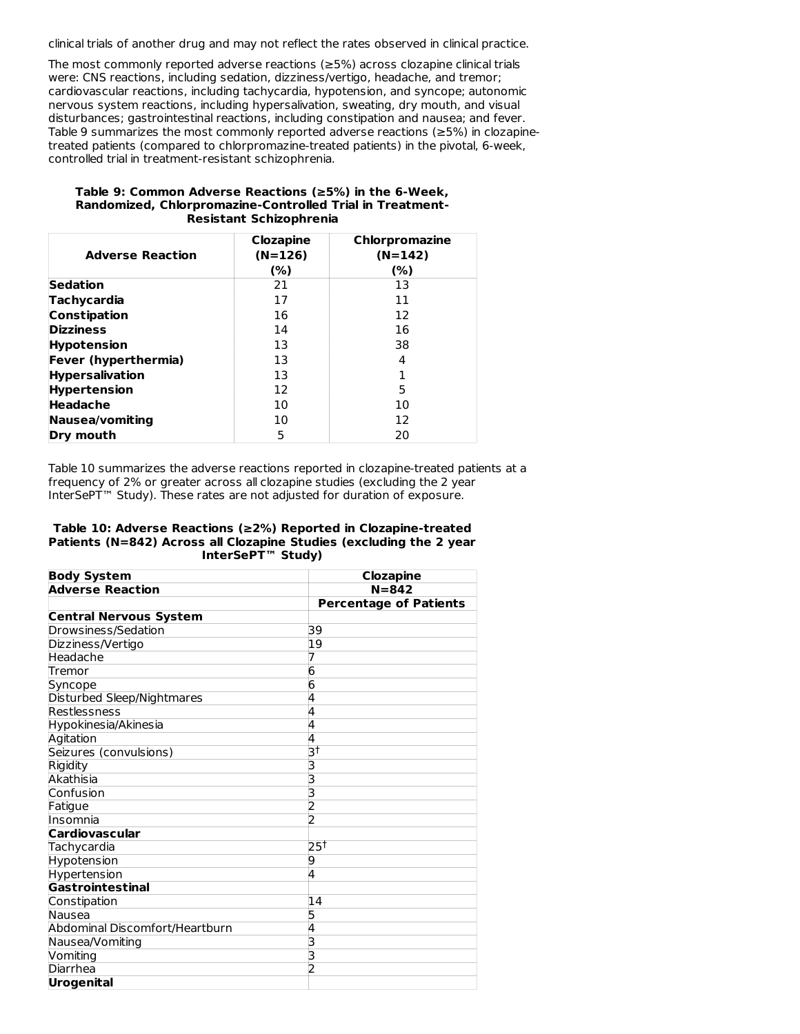clinical trials of another drug and may not reflect the rates observed in clinical practice.

The most commonly reported adverse reactions (≥5%) across clozapine clinical trials were: CNS reactions, including sedation, dizziness/vertigo, headache, and tremor; cardiovascular reactions, including tachycardia, hypotension, and syncope; autonomic nervous system reactions, including hypersalivation, sweating, dry mouth, and visual disturbances; gastrointestinal reactions, including constipation and nausea; and fever. Table 9 summarizes the most commonly reported adverse reactions (≥5%) in clozapinetreated patients (compared to chlorpromazine-treated patients) in the pivotal, 6-week, controlled trial in treatment-resistant schizophrenia.

#### **Table 9: Common Adverse Reactions (≥5%) in the 6-Week, Randomized, Chlorpromazine-Controlled Trial in Treatment-Resistant Schizophrenia**

| <b>Adverse Reaction</b> | <b>Clozapine</b><br>$(N=126)$<br>(%) | Chlorpromazine<br>$(N=142)$<br>(%) |
|-------------------------|--------------------------------------|------------------------------------|
| Sedation                | 21                                   | 13                                 |
| Tachycardia             | 17                                   | 11                                 |
| Constipation            | 16                                   | 12                                 |
| <b>Dizziness</b>        | 14                                   | 16                                 |
| <b>Hypotension</b>      | 13                                   | 38                                 |
| Fever (hyperthermia)    | 13                                   | 4                                  |
| <b>Hypersalivation</b>  | 13                                   |                                    |
| <b>Hypertension</b>     | 12                                   | 5                                  |
| Headache                | 10                                   | 10                                 |
| Nausea/vomiting         | 10                                   | 12                                 |
| Dry mouth               | 5                                    | 20                                 |

Table 10 summarizes the adverse reactions reported in clozapine-treated patients at a frequency of 2% or greater across all clozapine studies (excluding the 2 year InterSePT™ Study). These rates are not adjusted for duration of exposure.

#### **Table 10: Adverse Reactions (≥2%) Reported in Clozapine-treated Patients (N=842) Across all Clozapine Studies (excluding the 2 year InterSePT™ Study)**

| <b>Body System</b>             | <b>Clozapine</b>              |
|--------------------------------|-------------------------------|
| <b>Adverse Reaction</b>        | $N = 842$                     |
|                                | <b>Percentage of Patients</b> |
| <b>Central Nervous System</b>  |                               |
| Drowsiness/Sedation            | 39                            |
| Dizziness/Vertigo              | 19                            |
| Headache                       |                               |
| Tremor                         | 6                             |
| Syncope                        | 6                             |
| Disturbed Sleep/Nightmares     | 4                             |
| Restlessness                   | 4                             |
| Hypokinesia/Akinesia           | 4                             |
| Agitation                      | 4                             |
| Seizures (convulsions)         | য়                            |
| Rigidity                       | 3                             |
| Akathisia                      | 3                             |
| Confusion                      | 3                             |
| Fatigue                        | 2                             |
| Insomnia                       | 2                             |
| <b>Cardiovascular</b>          |                               |
| Tachycardia                    | $25^{\dagger}$                |
| Hypotension                    | 9                             |
| Hypertension                   | 4                             |
| <b>Gastrointestinal</b>        |                               |
| Constipation                   | 14                            |
| Nausea                         | 5                             |
| Abdominal Discomfort/Heartburn | 4                             |
| Nausea/Vomiting                | 3                             |
| Vomiting                       | 3                             |
| Diarrhea                       |                               |
| <b>Urogenital</b>              |                               |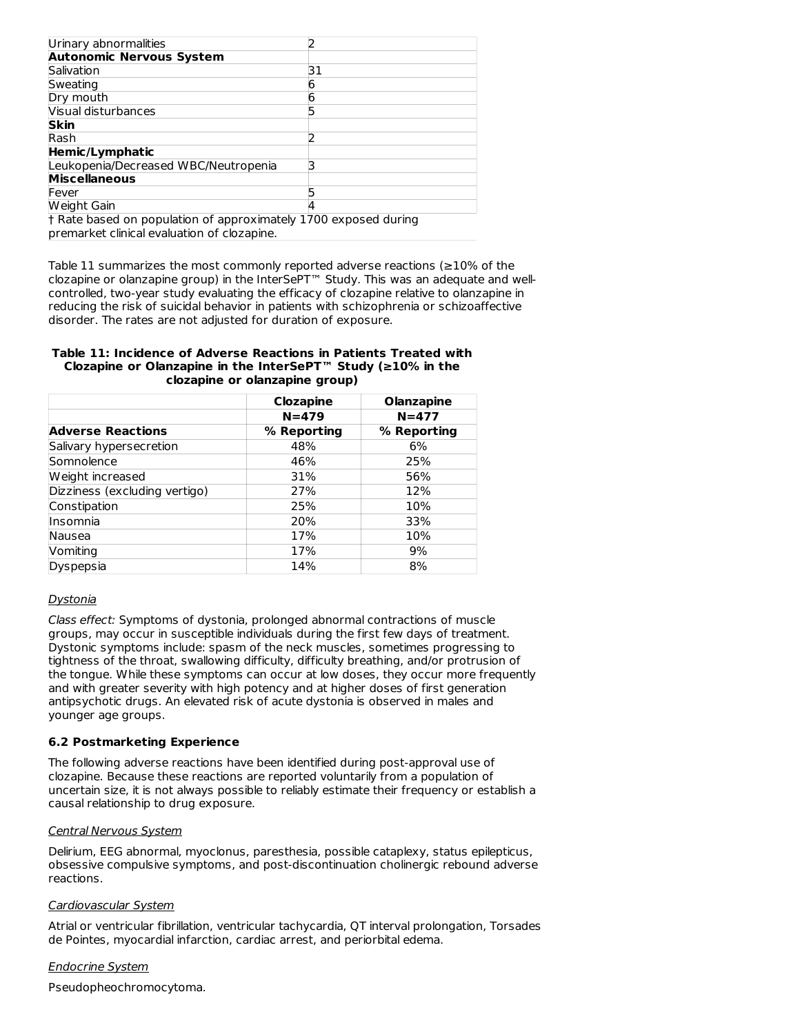| Urinary abnormalities                                           |    |
|-----------------------------------------------------------------|----|
| <b>Autonomic Nervous System</b>                                 |    |
| Salivation                                                      | 31 |
| Sweating                                                        | o  |
| Dry mouth                                                       |    |
| Visual disturbances                                             |    |
| <b>Skin</b>                                                     |    |
| Rash                                                            |    |
| Hemic/Lymphatic                                                 |    |
| Leukopenia/Decreased WBC/Neutropenia                            | 3  |
| <b>Miscellaneous</b>                                            |    |
| Fever                                                           |    |
| Weight Gain                                                     |    |
| † Rate based on population of approximately 1700 exposed during |    |
| premarket clinical evaluation of clozapine.                     |    |

Table 11 summarizes the most commonly reported adverse reactions (≥10% of the clozapine or olanzapine group) in the InterSePT™ Study. This was an adequate and wellcontrolled, two-year study evaluating the efficacy of clozapine relative to olanzapine in reducing the risk of suicidal behavior in patients with schizophrenia or schizoaffective disorder. The rates are not adjusted for duration of exposure.

#### **Table 11: Incidence of Adverse Reactions in Patients Treated with Clozapine or Olanzapine in the InterSePT™ Study (≥10% in the clozapine or olanzapine group)**

|                               | <b>Clozapine</b> | <b>Olanzapine</b> |
|-------------------------------|------------------|-------------------|
|                               | $N = 479$        | $N = 477$         |
| <b>Adverse Reactions</b>      | % Reporting      | % Reporting       |
| Salivary hypersecretion       | 48%              | 6%                |
| Somnolence                    | 46%              | 25%               |
| Weight increased              | 31%              | 56%               |
| Dizziness (excluding vertigo) | 27%              | 12%               |
| Constipation                  | 25%              | 10%               |
| Insomnia                      | 20%              | 33%               |
| Nausea                        | 17%              | 10%               |
| Vomiting                      | 17%              | 9%                |
| Dyspepsia                     | 14%              | 8%                |

# Dystonia

Class effect: Symptoms of dystonia, prolonged abnormal contractions of muscle groups, may occur in susceptible individuals during the first few days of treatment. Dystonic symptoms include: spasm of the neck muscles, sometimes progressing to tightness of the throat, swallowing difficulty, difficulty breathing, and/or protrusion of the tongue. While these symptoms can occur at low doses, they occur more frequently and with greater severity with high potency and at higher doses of first generation antipsychotic drugs. An elevated risk of acute dystonia is observed in males and younger age groups.

### **6.2 Postmarketing Experience**

The following adverse reactions have been identified during post-approval use of clozapine. Because these reactions are reported voluntarily from a population of uncertain size, it is not always possible to reliably estimate their frequency or establish a causal relationship to drug exposure.

### Central Nervous System

Delirium, EEG abnormal, myoclonus, paresthesia, possible cataplexy, status epilepticus, obsessive compulsive symptoms, and post-discontinuation cholinergic rebound adverse reactions.

### Cardiovascular System

Atrial or ventricular fibrillation, ventricular tachycardia, QT interval prolongation, Torsades de Pointes, myocardial infarction, cardiac arrest, and periorbital edema.

### Endocrine System

Pseudopheochromocytoma.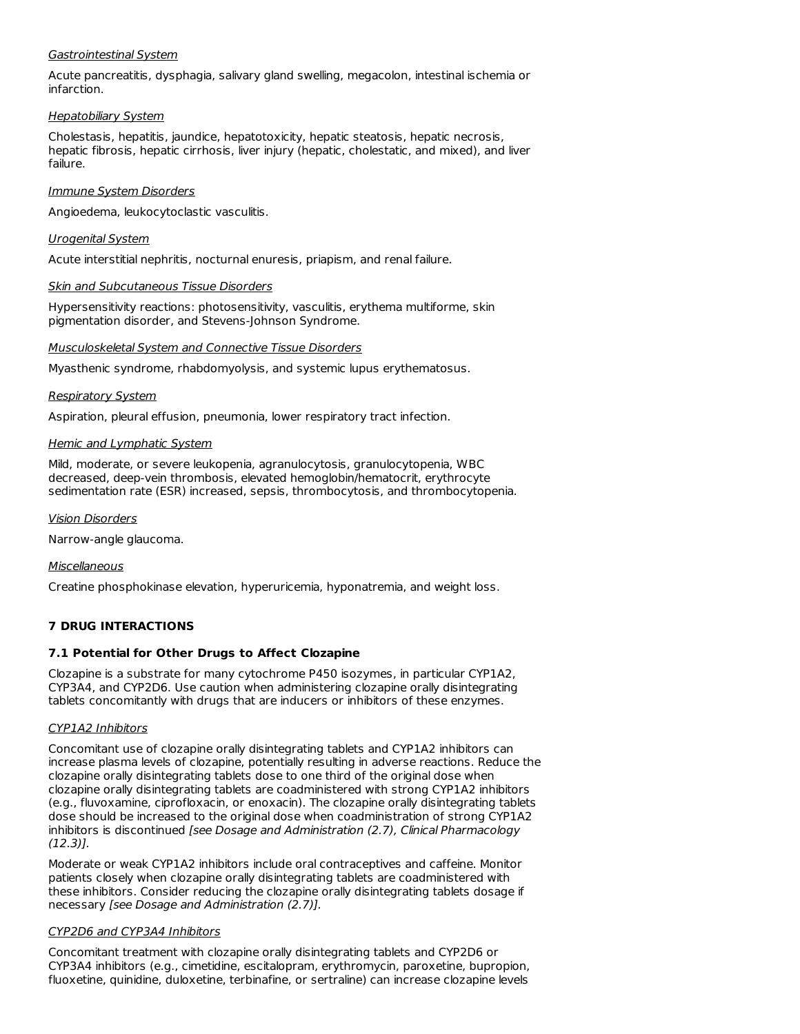### Gastrointestinal System

Acute pancreatitis, dysphagia, salivary gland swelling, megacolon, intestinal ischemia or infarction.

### Hepatobiliary System

Cholestasis, hepatitis, jaundice, hepatotoxicity, hepatic steatosis, hepatic necrosis, hepatic fibrosis, hepatic cirrhosis, liver injury (hepatic, cholestatic, and mixed), and liver failure.

### Immune System Disorders

Angioedema, leukocytoclastic vasculitis.

### Urogenital System

Acute interstitial nephritis, nocturnal enuresis, priapism, and renal failure.

### Skin and Subcutaneous Tissue Disorders

Hypersensitivity reactions: photosensitivity, vasculitis, erythema multiforme, skin pigmentation disorder, and Stevens-Johnson Syndrome.

### Musculoskeletal System and Connective Tissue Disorders

Myasthenic syndrome, rhabdomyolysis, and systemic lupus erythematosus.

### Respiratory System

Aspiration, pleural effusion, pneumonia, lower respiratory tract infection.

### Hemic and Lymphatic System

Mild, moderate, or severe leukopenia, agranulocytosis, granulocytopenia, WBC decreased, deep-vein thrombosis, elevated hemoglobin/hematocrit, erythrocyte sedimentation rate (ESR) increased, sepsis, thrombocytosis, and thrombocytopenia.

Vision Disorders

Narrow-angle glaucoma.

# Miscellaneous

Creatine phosphokinase elevation, hyperuricemia, hyponatremia, and weight loss.

# **7 DRUG INTERACTIONS**

# **7.1 Potential for Other Drugs to Affect Clozapine**

Clozapine is a substrate for many cytochrome P450 isozymes, in particular CYP1A2, CYP3A4, and CYP2D6. Use caution when administering clozapine orally disintegrating tablets concomitantly with drugs that are inducers or inhibitors of these enzymes.

# CYP1A2 Inhibitors

Concomitant use of clozapine orally disintegrating tablets and CYP1A2 inhibitors can increase plasma levels of clozapine, potentially resulting in adverse reactions. Reduce the clozapine orally disintegrating tablets dose to one third of the original dose when clozapine orally disintegrating tablets are coadministered with strong CYP1A2 inhibitors (e.g., fluvoxamine, ciprofloxacin, or enoxacin). The clozapine orally disintegrating tablets dose should be increased to the original dose when coadministration of strong CYP1A2 inhibitors is discontinued [see Dosage and Administration (2.7), Clinical Pharmacology (12.3)].

Moderate or weak CYP1A2 inhibitors include oral contraceptives and caffeine. Monitor patients closely when clozapine orally disintegrating tablets are coadministered with these inhibitors. Consider reducing the clozapine orally disintegrating tablets dosage if necessary [see Dosage and Administration (2.7)].

# CYP2D6 and CYP3A4 Inhibitors

Concomitant treatment with clozapine orally disintegrating tablets and CYP2D6 or CYP3A4 inhibitors (e.g., cimetidine, escitalopram, erythromycin, paroxetine, bupropion, fluoxetine, quinidine, duloxetine, terbinafine, or sertraline) can increase clozapine levels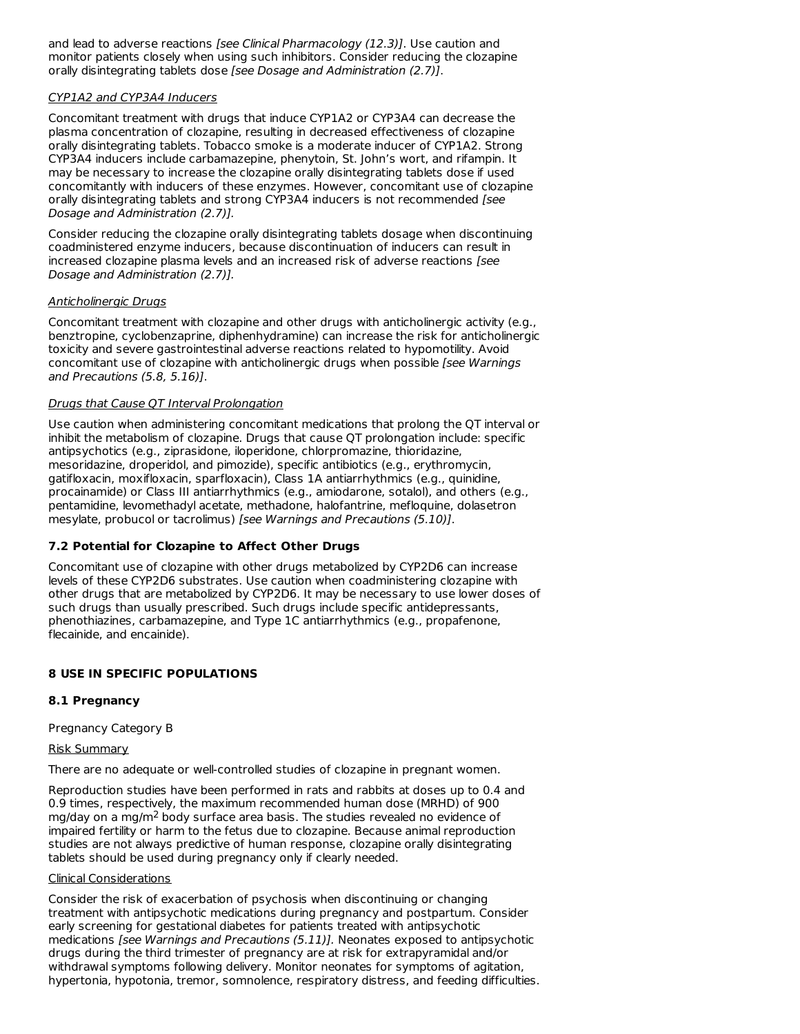and lead to adverse reactions [see Clinical Pharmacology (12.3)]. Use caution and monitor patients closely when using such inhibitors. Consider reducing the clozapine orally disintegrating tablets dose [see Dosage and Administration (2.7)].

### CYP1A2 and CYP3A4 Inducers

Concomitant treatment with drugs that induce CYP1A2 or CYP3A4 can decrease the plasma concentration of clozapine, resulting in decreased effectiveness of clozapine orally disintegrating tablets. Tobacco smoke is a moderate inducer of CYP1A2. Strong CYP3A4 inducers include carbamazepine, phenytoin, St. John's wort, and rifampin. It may be necessary to increase the clozapine orally disintegrating tablets dose if used concomitantly with inducers of these enzymes. However, concomitant use of clozapine orally disintegrating tablets and strong CYP3A4 inducers is not recommended [see Dosage and Administration (2.7)].

Consider reducing the clozapine orally disintegrating tablets dosage when discontinuing coadministered enzyme inducers, because discontinuation of inducers can result in increased clozapine plasma levels and an increased risk of adverse reactions [see Dosage and Administration (2.7)].

### Anticholinergic Drugs

Concomitant treatment with clozapine and other drugs with anticholinergic activity (e.g., benztropine, cyclobenzaprine, diphenhydramine) can increase the risk for anticholinergic toxicity and severe gastrointestinal adverse reactions related to hypomotility. Avoid concomitant use of clozapine with anticholinergic drugs when possible [see Warnings] and Precautions (5.8, 5.16)].

### Drugs that Cause QT Interval Prolongation

Use caution when administering concomitant medications that prolong the QT interval or inhibit the metabolism of clozapine. Drugs that cause QT prolongation include: specific antipsychotics (e.g., ziprasidone, iloperidone, chlorpromazine, thioridazine, mesoridazine, droperidol, and pimozide), specific antibiotics (e.g., erythromycin, gatifloxacin, moxifloxacin, sparfloxacin), Class 1A antiarrhythmics (e.g., quinidine, procainamide) or Class III antiarrhythmics (e.g., amiodarone, sotalol), and others (e.g., pentamidine, levomethadyl acetate, methadone, halofantrine, mefloquine, dolasetron mesylate, probucol or tacrolimus) [see Warnings and Precautions (5.10)].

# **7.2 Potential for Clozapine to Affect Other Drugs**

Concomitant use of clozapine with other drugs metabolized by CYP2D6 can increase levels of these CYP2D6 substrates. Use caution when coadministering clozapine with other drugs that are metabolized by CYP2D6. It may be necessary to use lower doses of such drugs than usually prescribed. Such drugs include specific antidepressants, phenothiazines, carbamazepine, and Type 1C antiarrhythmics (e.g., propafenone, flecainide, and encainide).

# **8 USE IN SPECIFIC POPULATIONS**

# **8.1 Pregnancy**

Pregnancy Category B

### Risk Summary

There are no adequate or well-controlled studies of clozapine in pregnant women.

Reproduction studies have been performed in rats and rabbits at doses up to 0.4 and 0.9 times, respectively, the maximum recommended human dose (MRHD) of 900 mg/day on a mg/m<sup>2</sup> body surface area basis. The studies revealed no evidence of impaired fertility or harm to the fetus due to clozapine. Because animal reproduction studies are not always predictive of human response, clozapine orally disintegrating tablets should be used during pregnancy only if clearly needed.

### Clinical Considerations

Consider the risk of exacerbation of psychosis when discontinuing or changing treatment with antipsychotic medications during pregnancy and postpartum. Consider early screening for gestational diabetes for patients treated with antipsychotic medications [see Warnings and Precautions (5.11)]. Neonates exposed to antipsychotic drugs during the third trimester of pregnancy are at risk for extrapyramidal and/or withdrawal symptoms following delivery. Monitor neonates for symptoms of agitation, hypertonia, hypotonia, tremor, somnolence, respiratory distress, and feeding difficulties.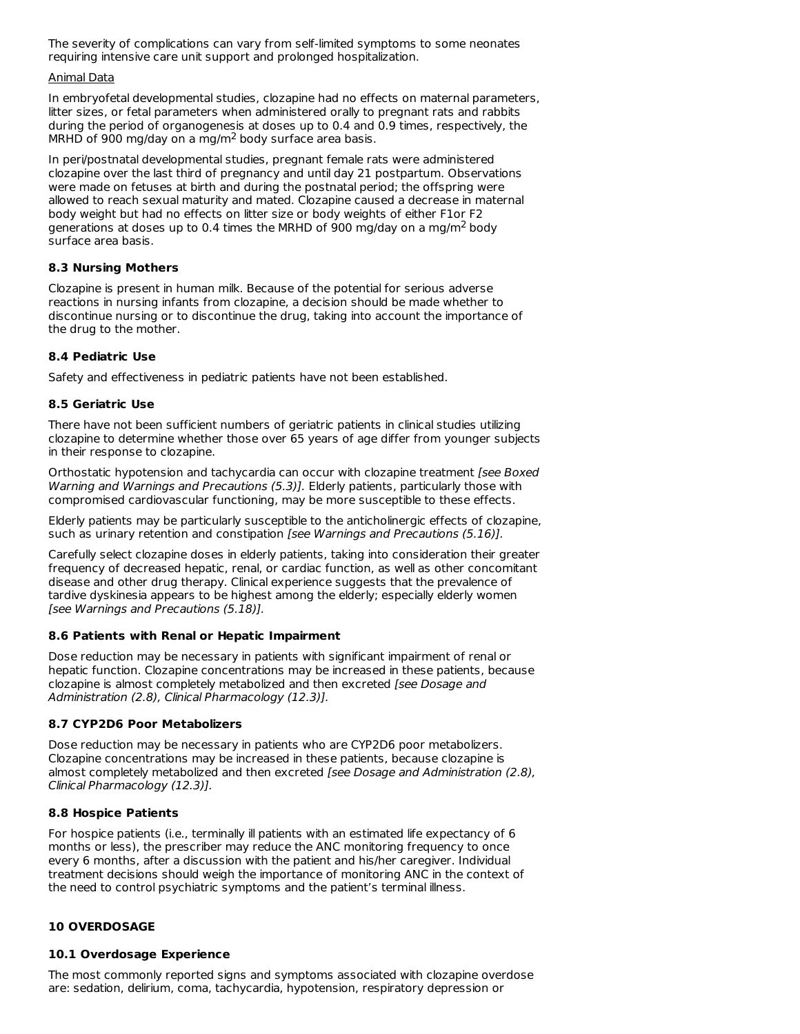The severity of complications can vary from self-limited symptoms to some neonates requiring intensive care unit support and prolonged hospitalization.

### Animal Data

In embryofetal developmental studies, clozapine had no effects on maternal parameters, litter sizes, or fetal parameters when administered orally to pregnant rats and rabbits during the period of organogenesis at doses up to 0.4 and 0.9 times, respectively, the MRHD of 900 mg/day on a mg/m<sup>2</sup> body surface area basis.

In peri/postnatal developmental studies, pregnant female rats were administered clozapine over the last third of pregnancy and until day 21 postpartum. Observations were made on fetuses at birth and during the postnatal period; the offspring were allowed to reach sexual maturity and mated. Clozapine caused a decrease in maternal body weight but had no effects on litter size or body weights of either F1or F2 generations at doses up to 0.4 times the MRHD of 900 mg/day on a mg/m<sup>2</sup> body surface area basis.

# **8.3 Nursing Mothers**

Clozapine is present in human milk. Because of the potential for serious adverse reactions in nursing infants from clozapine, a decision should be made whether to discontinue nursing or to discontinue the drug, taking into account the importance of the drug to the mother.

# **8.4 Pediatric Use**

Safety and effectiveness in pediatric patients have not been established.

# **8.5 Geriatric Use**

There have not been sufficient numbers of geriatric patients in clinical studies utilizing clozapine to determine whether those over 65 years of age differ from younger subjects in their response to clozapine.

Orthostatic hypotension and tachycardia can occur with clozapine treatment [see Boxed] Warning and Warnings and Precautions (5.3)]. Elderly patients, particularly those with compromised cardiovascular functioning, may be more susceptible to these effects.

Elderly patients may be particularly susceptible to the anticholinergic effects of clozapine, such as urinary retention and constipation [see Warnings and Precautions (5.16)].

Carefully select clozapine doses in elderly patients, taking into consideration their greater frequency of decreased hepatic, renal, or cardiac function, as well as other concomitant disease and other drug therapy. Clinical experience suggests that the prevalence of tardive dyskinesia appears to be highest among the elderly; especially elderly women [see Warnings and Precautions (5.18)].

# **8.6 Patients with Renal or Hepatic Impairment**

Dose reduction may be necessary in patients with significant impairment of renal or hepatic function. Clozapine concentrations may be increased in these patients, because clozapine is almost completely metabolized and then excreted [see Dosage and Administration (2.8), Clinical Pharmacology (12.3)].

# **8.7 CYP2D6 Poor Metabolizers**

Dose reduction may be necessary in patients who are CYP2D6 poor metabolizers. Clozapine concentrations may be increased in these patients, because clozapine is almost completely metabolized and then excreted [see Dosage and Administration (2.8), Clinical Pharmacology (12.3)].

# **8.8 Hospice Patients**

For hospice patients (i.e., terminally ill patients with an estimated life expectancy of 6 months or less), the prescriber may reduce the ANC monitoring frequency to once every 6 months, after a discussion with the patient and his/her caregiver. Individual treatment decisions should weigh the importance of monitoring ANC in the context of the need to control psychiatric symptoms and the patient's terminal illness.

# **10 OVERDOSAGE**

# **10.1 Overdosage Experience**

The most commonly reported signs and symptoms associated with clozapine overdose are: sedation, delirium, coma, tachycardia, hypotension, respiratory depression or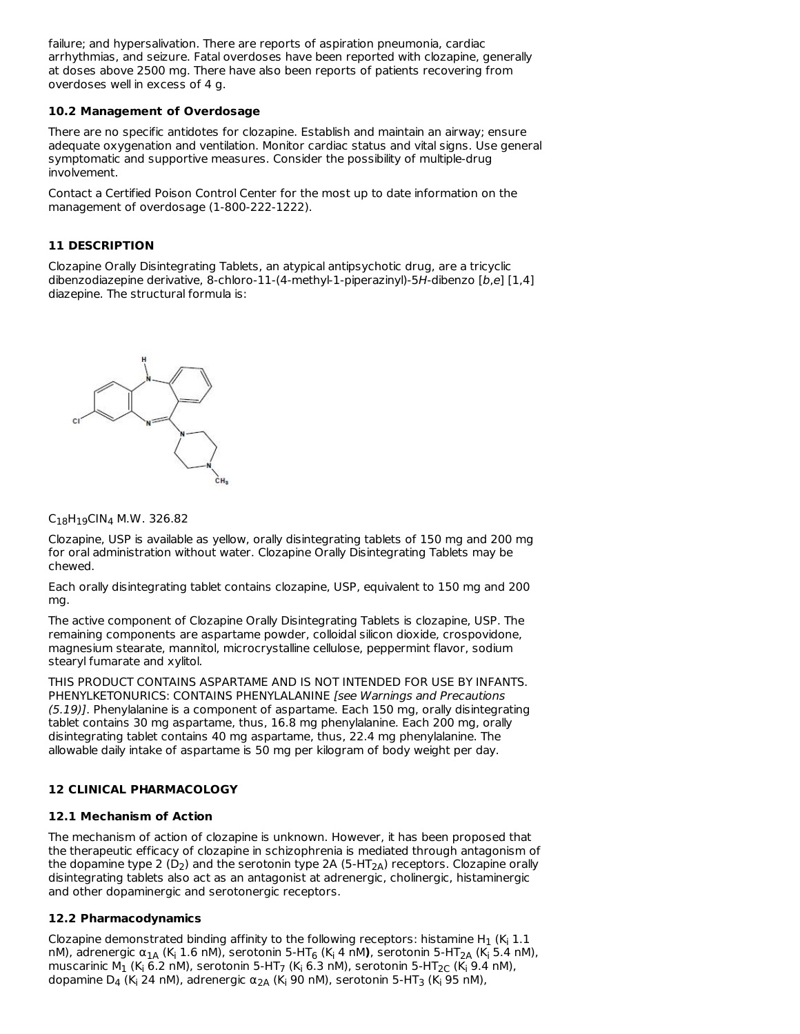failure; and hypersalivation. There are reports of aspiration pneumonia, cardiac arrhythmias, and seizure. Fatal overdoses have been reported with clozapine, generally at doses above 2500 mg. There have also been reports of patients recovering from overdoses well in excess of 4 g.

### **10.2 Management of Overdosage**

There are no specific antidotes for clozapine. Establish and maintain an airway; ensure adequate oxygenation and ventilation. Monitor cardiac status and vital signs. Use general symptomatic and supportive measures. Consider the possibility of multiple-drug involvement.

Contact a Certified Poison Control Center for the most up to date information on the management of overdosage (1-800-222-1222).

### **11 DESCRIPTION**

Clozapine Orally Disintegrating Tablets, an atypical antipsychotic drug, are a tricyclic dibenzodiazepine derivative, 8-chloro-11-(4-methyl-1-piperazinyl)-5H-dibenzo [b,e] [1,4] diazepine. The structural formula is:



 $\mathsf{C}_{18}\mathsf{H}_{19}\mathsf{CIN}_4$  M.W. 326.82

Clozapine, USP is available as yellow, orally disintegrating tablets of 150 mg and 200 mg for oral administration without water. Clozapine Orally Disintegrating Tablets may be chewed.

Each orally disintegrating tablet contains clozapine, USP, equivalent to 150 mg and 200 mg.

The active component of Clozapine Orally Disintegrating Tablets is clozapine, USP. The remaining components are aspartame powder, colloidal silicon dioxide, crospovidone, magnesium stearate, mannitol, microcrystalline cellulose, peppermint flavor, sodium stearyl fumarate and xylitol.

THIS PRODUCT CONTAINS ASPARTAME AND IS NOT INTENDED FOR USE BY INFANTS. PHENYLKETONURICS: CONTAINS PHENYLALANINE [see Warnings and Precautions (5.19)]. Phenylalanine is a component of aspartame. Each 150 mg, orally disintegrating tablet contains 30 mg aspartame, thus, 16.8 mg phenylalanine. Each 200 mg, orally disintegrating tablet contains 40 mg aspartame, thus, 22.4 mg phenylalanine. The allowable daily intake of aspartame is 50 mg per kilogram of body weight per day.

# **12 CLINICAL PHARMACOLOGY**

### **12.1 Mechanism of Action**

The mechanism of action of clozapine is unknown. However, it has been proposed that the therapeutic efficacy of clozapine in schizophrenia is mediated through antagonism of the dopamine type 2 (D<sub>2</sub>) and the serotonin type 2A (5-HT<sub>2A</sub>) receptors. Clozapine orally disintegrating tablets also act as an antagonist at adrenergic, cholinergic, histaminergic and other dopaminergic and serotonergic receptors.

# **12.2 Pharmacodynamics**

Clozapine demonstrated binding affinity to the following receptors: histamine H<sub>1</sub> (K<sub>i</sub> 1.1 nM), adrenergic α<sub>1Α</sub> (K<sub>i</sub> 1.6 nM), serotonin 5-HT<sub>6</sub> (K<sub>i</sub> 4 nM), serotonin 5-HT<sub>2A</sub> (K<sub>i</sub> 5.4 nM), muscarinic M $_1$  (K<sub>i</sub> 6.2 nM), serotonin 5-HT<sub>7</sub> (K<sub>i</sub> 6.3 nM), serotonin 5-HT<sub>2C</sub> (K<sub>i</sub> 9.4 nM), dopamine D $_4$  (K<sub>i</sub> 24 nM), adrenergic α $_{2A}$  (K<sub>i</sub> 90 nM), serotonin 5-HT<sub>3</sub> (K<sub>i</sub> 95 nM),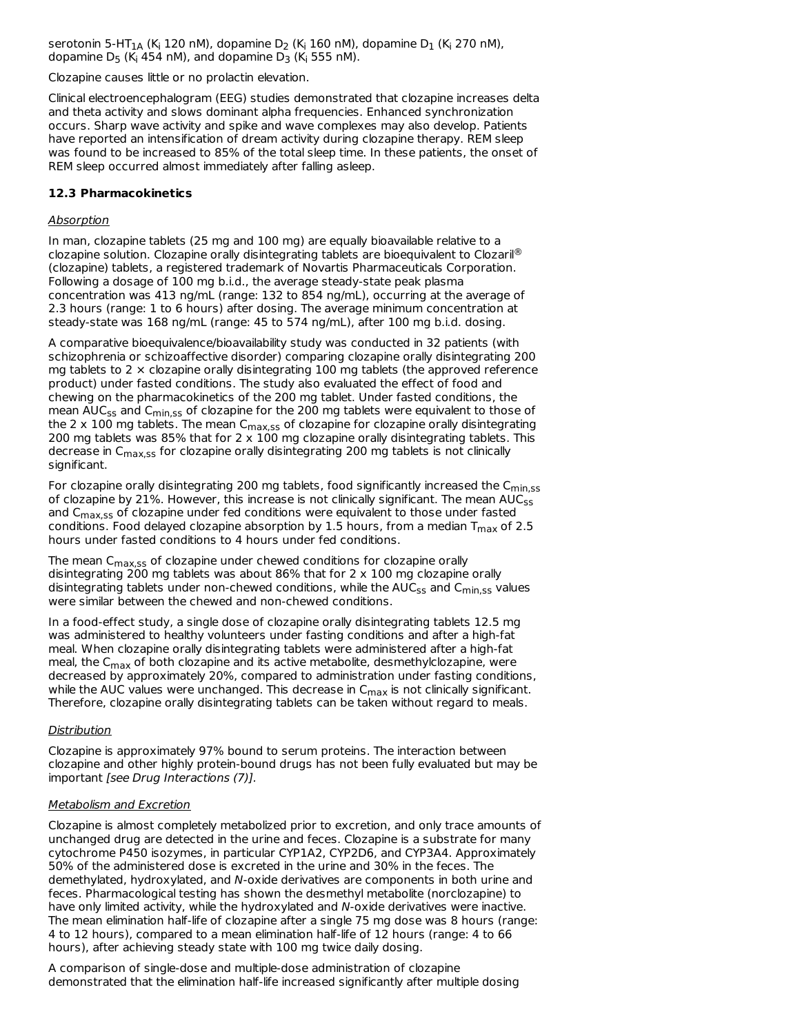serotonin 5-HT $_{\rm 1A}$  (K<sub>i</sub> 120 nM), dopamine D $_{\rm 2}$  (K<sub>i</sub> 160 nM), dopamine D $_{\rm 1}$  (K<sub>i</sub> 270 nM), dopamine D $_5$  (K<sub>i</sub> 454 nM), and dopamine D $_3$  (K<sub>i</sub> 555 nM).

Clozapine causes little or no prolactin elevation.

Clinical electroencephalogram (EEG) studies demonstrated that clozapine increases delta and theta activity and slows dominant alpha frequencies. Enhanced synchronization occurs. Sharp wave activity and spike and wave complexes may also develop. Patients have reported an intensification of dream activity during clozapine therapy. REM sleep was found to be increased to 85% of the total sleep time. In these patients, the onset of REM sleep occurred almost immediately after falling asleep.

### **12.3 Pharmacokinetics**

### Absorption

In man, clozapine tablets (25 mg and 100 mg) are equally bioavailable relative to a clozapine solution. Clozapine orally disintegrating tablets are bioequivalent to Clozaril® (clozapine) tablets, a registered trademark of Novartis Pharmaceuticals Corporation. Following a dosage of 100 mg b.i.d., the average steady-state peak plasma concentration was 413 ng/mL (range: 132 to 854 ng/mL), occurring at the average of 2.3 hours (range: 1 to 6 hours) after dosing. The average minimum concentration at steady-state was 168 ng/mL (range: 45 to 574 ng/mL), after 100 mg b.i.d. dosing.

A comparative bioequivalence/bioavailability study was conducted in 32 patients (with schizophrenia or schizoaffective disorder) comparing clozapine orally disintegrating 200 mg tablets to 2  $\times$  clozapine orally disintegrating 100 mg tablets (the approved reference product) under fasted conditions. The study also evaluated the effect of food and chewing on the pharmacokinetics of the 200 mg tablet. Under fasted conditions, the mean AUC<sub>ss</sub> and C<sub>min,ss</sub> of clozapine for the 200 mg tablets were equivalent to those of the 2 x 100 mg tablets. The mean C<sub>max,ss</sub> of clozapine for clozapine orally disintegrating 200 mg tablets was 85% that for  $2 \times 100$  mg clozapine orally disintegrating tablets. This decrease in C<sub>max,ss</sub> for clozapine orally disintegrating 200 mg tablets is not clinically significant.

For clozapine orally disintegrating 200 mg tablets, food significantly increased the  $C_{\sf min,ss}$ of clozapine by 21%. However, this increase is not clinically significant. The mean  $\mathsf{AUC}_{\mathsf{SS}}$ and  $C_{\text{max,SS}}$  of clozapine under fed conditions were equivalent to those under fasted conditions. Food delayed clozapine absorption by 1.5 hours, from a median  $T_{\sf max}$  of 2.5 hours under fasted conditions to 4 hours under fed conditions.

The mean C<sub>max,ss</sub> of clozapine under chewed conditions for clozapine orally disintegrating 200 mg tablets was about 86% that for 2 x 100 mg clozapine orally disintegrating tablets under non-chewed conditions, while the AUC<sub>ss</sub> and C<sub>min,ss</sub> values were similar between the chewed and non-chewed conditions.

In a food-effect study, a single dose of clozapine orally disintegrating tablets 12.5 mg was administered to healthy volunteers under fasting conditions and after a high-fat meal. When clozapine orally disintegrating tablets were administered after a high-fat meal, the  $\mathsf{C}_{\mathsf{max}}$  of both clozapine and its active metabolite, desmethylclozapine, were decreased by approximately 20%, compared to administration under fasting conditions, while the AUC values were unchanged. This decrease in  $\mathsf{C}_{\mathsf{max}}$  is not clinically significant. Therefore, clozapine orally disintegrating tablets can be taken without regard to meals.

### **Distribution**

Clozapine is approximately 97% bound to serum proteins. The interaction between clozapine and other highly protein-bound drugs has not been fully evaluated but may be important [see Drug Interactions (7)].

### Metabolism and Excretion

Clozapine is almost completely metabolized prior to excretion, and only trace amounts of unchanged drug are detected in the urine and feces. Clozapine is a substrate for many cytochrome P450 isozymes, in particular CYP1A2, CYP2D6, and CYP3A4. Approximately 50% of the administered dose is excreted in the urine and 30% in the feces. The demethylated, hydroxylated, and N-oxide derivatives are components in both urine and feces. Pharmacological testing has shown the desmethyl metabolite (norclozapine) to have only limited activity, while the hydroxylated and N-oxide derivatives were inactive. The mean elimination half-life of clozapine after a single 75 mg dose was 8 hours (range: 4 to 12 hours), compared to a mean elimination half-life of 12 hours (range: 4 to 66 hours), after achieving steady state with 100 mg twice daily dosing.

A comparison of single-dose and multiple-dose administration of clozapine demonstrated that the elimination half-life increased significantly after multiple dosing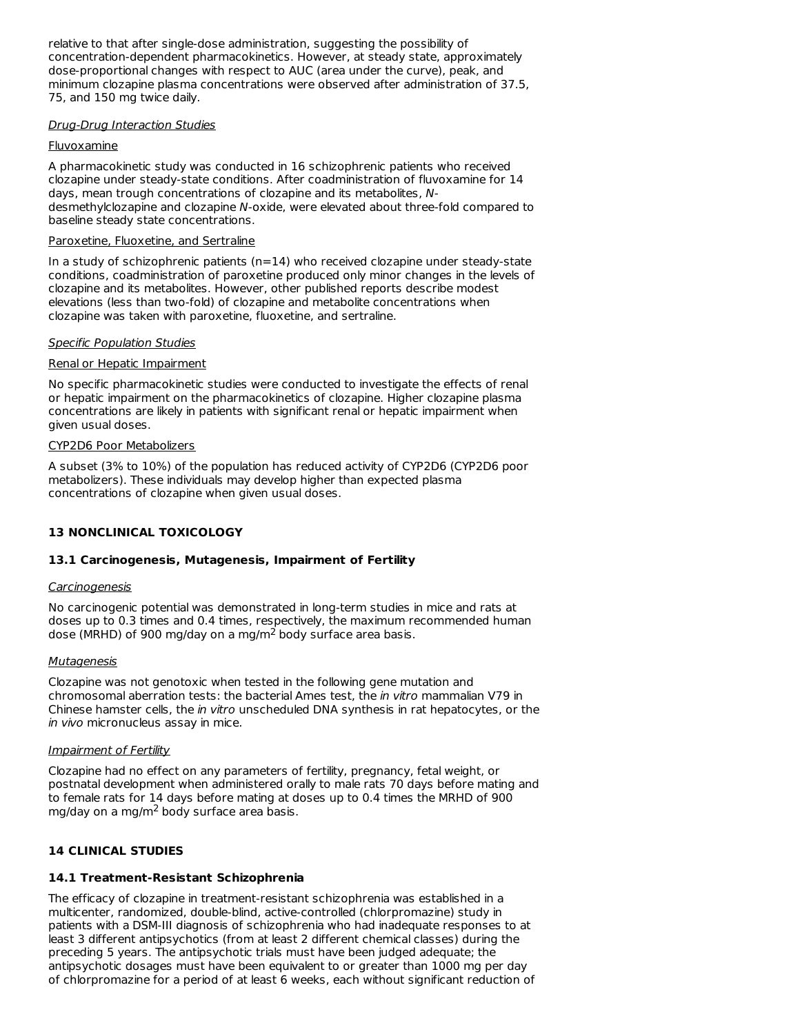relative to that after single-dose administration, suggesting the possibility of concentration-dependent pharmacokinetics. However, at steady state, approximately dose-proportional changes with respect to AUC (area under the curve), peak, and minimum clozapine plasma concentrations were observed after administration of 37.5, 75, and 150 mg twice daily.

### Drug-Drug Interaction Studies

### **Fluvoxamine**

A pharmacokinetic study was conducted in 16 schizophrenic patients who received clozapine under steady-state conditions. After coadministration of fluvoxamine for 14 days, mean trough concentrations of clozapine and its metabolites, Ndesmethylclozapine and clozapine N-oxide, were elevated about three-fold compared to baseline steady state concentrations.

### Paroxetine, Fluoxetine, and Sertraline

In a study of schizophrenic patients (n=14) who received clozapine under steady-state conditions, coadministration of paroxetine produced only minor changes in the levels of clozapine and its metabolites. However, other published reports describe modest elevations (less than two-fold) of clozapine and metabolite concentrations when clozapine was taken with paroxetine, fluoxetine, and sertraline.

### Specific Population Studies

### Renal or Hepatic Impairment

No specific pharmacokinetic studies were conducted to investigate the effects of renal or hepatic impairment on the pharmacokinetics of clozapine. Higher clozapine plasma concentrations are likely in patients with significant renal or hepatic impairment when given usual doses.

### CYP2D6 Poor Metabolizers

A subset (3% to 10%) of the population has reduced activity of CYP2D6 (CYP2D6 poor metabolizers). These individuals may develop higher than expected plasma concentrations of clozapine when given usual doses.

# **13 NONCLINICAL TOXICOLOGY**

# **13.1 Carcinogenesis, Mutagenesis, Impairment of Fertility**

### **Carcinogenesis**

No carcinogenic potential was demonstrated in long-term studies in mice and rats at doses up to 0.3 times and 0.4 times, respectively, the maximum recommended human dose (MRHD) of 900 mg/day on a mg/m<sup>2</sup> body surface area basis.

### **Mutagenesis**

Clozapine was not genotoxic when tested in the following gene mutation and chromosomal aberration tests: the bacterial Ames test, the in vitro mammalian V79 in Chinese hamster cells, the in vitro unscheduled DNA synthesis in rat hepatocytes, or the in vivo micronucleus assay in mice.

### Impairment of Fertility

Clozapine had no effect on any parameters of fertility, pregnancy, fetal weight, or postnatal development when administered orally to male rats 70 days before mating and to female rats for 14 days before mating at doses up to 0.4 times the MRHD of 900 mg/day on a mg/m<sup>2</sup> body surface area basis.

# **14 CLINICAL STUDIES**

# **14.1 Treatment-Resistant Schizophrenia**

The efficacy of clozapine in treatment-resistant schizophrenia was established in a multicenter, randomized, double-blind, active-controlled (chlorpromazine) study in patients with a DSM-III diagnosis of schizophrenia who had inadequate responses to at least 3 different antipsychotics (from at least 2 different chemical classes) during the preceding 5 years. The antipsychotic trials must have been judged adequate; the antipsychotic dosages must have been equivalent to or greater than 1000 mg per day of chlorpromazine for a period of at least 6 weeks, each without significant reduction of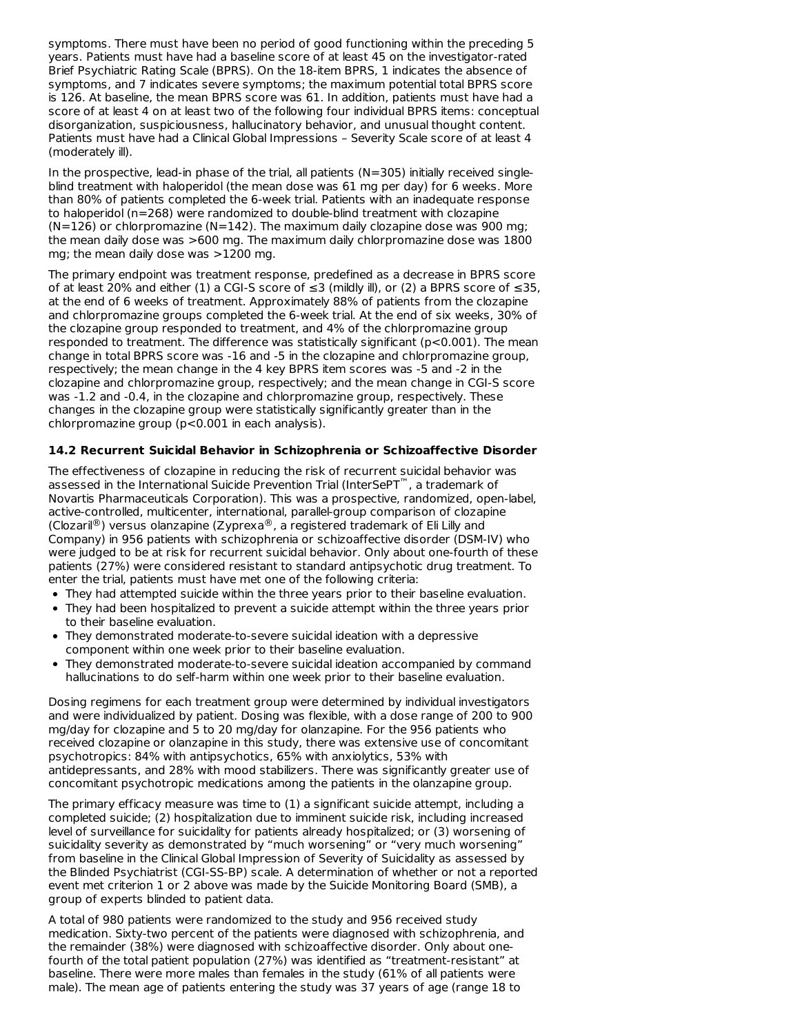symptoms. There must have been no period of good functioning within the preceding 5 years. Patients must have had a baseline score of at least 45 on the investigator-rated Brief Psychiatric Rating Scale (BPRS). On the 18-item BPRS, 1 indicates the absence of symptoms, and 7 indicates severe symptoms; the maximum potential total BPRS score is 126. At baseline, the mean BPRS score was 61. In addition, patients must have had a score of at least 4 on at least two of the following four individual BPRS items: conceptual disorganization, suspiciousness, hallucinatory behavior, and unusual thought content. Patients must have had a Clinical Global Impressions – Severity Scale score of at least 4 (moderately ill).

In the prospective, lead-in phase of the trial, all patients ( $N=305$ ) initially received singleblind treatment with haloperidol (the mean dose was 61 mg per day) for 6 weeks. More than 80% of patients completed the 6-week trial. Patients with an inadequate response to haloperidol (n=268) were randomized to double-blind treatment with clozapine  $(N=126)$  or chlorpromazine  $(N=142)$ . The maximum daily clozapine dose was 900 mg; the mean daily dose was >600 mg. The maximum daily chlorpromazine dose was 1800 mg; the mean daily dose was >1200 mg.

The primary endpoint was treatment response, predefined as a decrease in BPRS score of at least 20% and either (1) a CGI-S score of ≤3 (mildly ill), or (2) a BPRS score of ≤35, at the end of 6 weeks of treatment. Approximately 88% of patients from the clozapine and chlorpromazine groups completed the 6-week trial. At the end of six weeks, 30% of the clozapine group responded to treatment, and 4% of the chlorpromazine group responded to treatment. The difference was statistically significant  $(p<0.001)$ . The mean change in total BPRS score was -16 and -5 in the clozapine and chlorpromazine group, respectively; the mean change in the 4 key BPRS item scores was -5 and -2 in the clozapine and chlorpromazine group, respectively; and the mean change in CGI-S score was -1.2 and -0.4, in the clozapine and chlorpromazine group, respectively. These changes in the clozapine group were statistically significantly greater than in the chlorpromazine group (p<0.001 in each analysis).

### **14.2 Recurrent Suicidal Behavior in Schizophrenia or Schizoaffective Disorder**

The effectiveness of clozapine in reducing the risk of recurrent suicidal behavior was assessed in the International Suicide Prevention Trial (InterSePT<sup>™</sup>, a trademark of Novartis Pharmaceuticals Corporation). This was a prospective, randomized, open-label, active-controlled, multicenter, international, parallel-group comparison of clozapine (Clozaril®) versus olanzapine (Zyprexa®, a registered trademark of Eli Lilly and Company) in 956 patients with schizophrenia or schizoaffective disorder (DSM-IV) who were judged to be at risk for recurrent suicidal behavior. Only about one-fourth of these patients (27%) were considered resistant to standard antipsychotic drug treatment. To enter the trial, patients must have met one of the following criteria:

- They had attempted suicide within the three years prior to their baseline evaluation.
- They had been hospitalized to prevent a suicide attempt within the three years prior to their baseline evaluation.
- They demonstrated moderate-to-severe suicidal ideation with a depressive component within one week prior to their baseline evaluation.
- They demonstrated moderate-to-severe suicidal ideation accompanied by command hallucinations to do self-harm within one week prior to their baseline evaluation.

Dosing regimens for each treatment group were determined by individual investigators and were individualized by patient. Dosing was flexible, with a dose range of 200 to 900 mg/day for clozapine and 5 to 20 mg/day for olanzapine. For the 956 patients who received clozapine or olanzapine in this study, there was extensive use of concomitant psychotropics: 84% with antipsychotics, 65% with anxiolytics, 53% with antidepressants, and 28% with mood stabilizers. There was significantly greater use of concomitant psychotropic medications among the patients in the olanzapine group.

The primary efficacy measure was time to (1) a significant suicide attempt, including a completed suicide; (2) hospitalization due to imminent suicide risk, including increased level of surveillance for suicidality for patients already hospitalized; or (3) worsening of suicidality severity as demonstrated by "much worsening" or "very much worsening" from baseline in the Clinical Global Impression of Severity of Suicidality as assessed by the Blinded Psychiatrist (CGI-SS-BP) scale. A determination of whether or not a reported event met criterion 1 or 2 above was made by the Suicide Monitoring Board (SMB), a group of experts blinded to patient data.

A total of 980 patients were randomized to the study and 956 received study medication. Sixty-two percent of the patients were diagnosed with schizophrenia, and the remainder (38%) were diagnosed with schizoaffective disorder. Only about onefourth of the total patient population (27%) was identified as "treatment-resistant" at baseline. There were more males than females in the study (61% of all patients were male). The mean age of patients entering the study was 37 years of age (range 18 to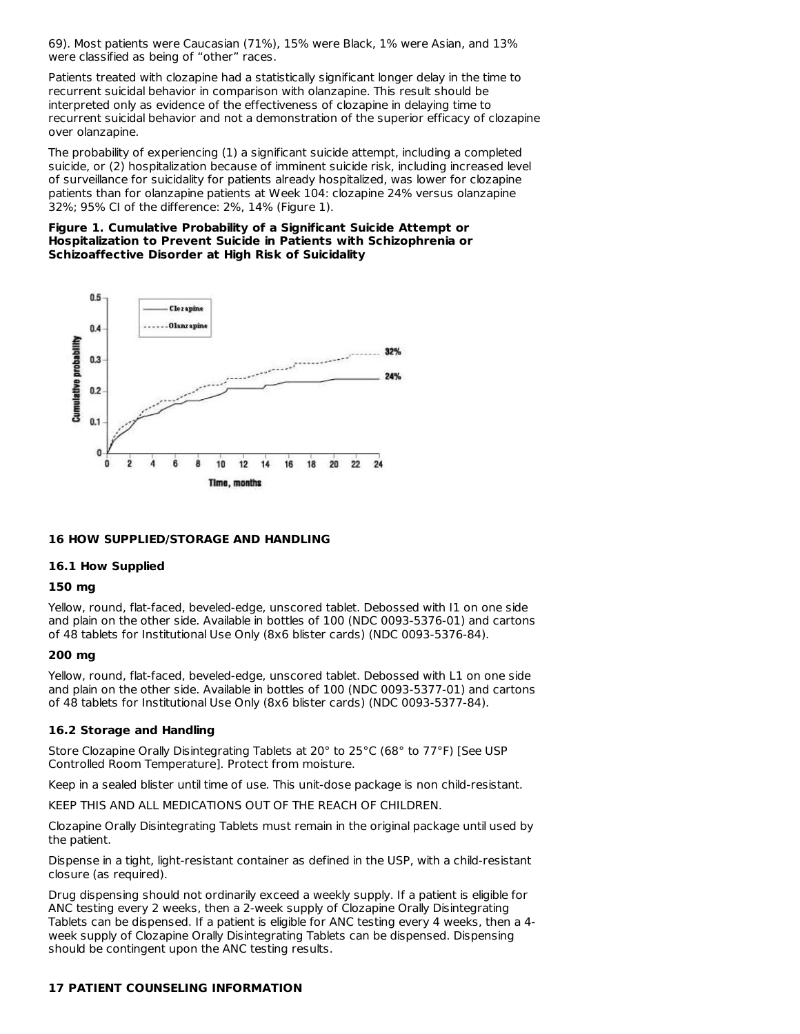69). Most patients were Caucasian (71%), 15% were Black, 1% were Asian, and 13% were classified as being of "other" races.

Patients treated with clozapine had a statistically significant longer delay in the time to recurrent suicidal behavior in comparison with olanzapine. This result should be interpreted only as evidence of the effectiveness of clozapine in delaying time to recurrent suicidal behavior and not a demonstration of the superior efficacy of clozapine over olanzapine.

The probability of experiencing (1) a significant suicide attempt, including a completed suicide, or (2) hospitalization because of imminent suicide risk, including increased level of surveillance for suicidality for patients already hospitalized, was lower for clozapine patients than for olanzapine patients at Week 104: clozapine 24% versus olanzapine 32%; 95% CI of the difference: 2%, 14% (Figure 1).

#### **Figure 1. Cumulative Probability of a Significant Suicide Attempt or Hospitalization to Prevent Suicide in Patients with Schizophrenia or Schizoaffective Disorder at High Risk of Suicidality**



### **16 HOW SUPPLIED/STORAGE AND HANDLING**

#### **16.1 How Supplied**

#### **150 mg**

Yellow, round, flat-faced, beveled-edge, unscored tablet. Debossed with I1 on one side and plain on the other side. Available in bottles of 100 (NDC 0093-5376-01) and cartons of 48 tablets for Institutional Use Only (8x6 blister cards) (NDC 0093-5376-84).

#### **200 mg**

Yellow, round, flat-faced, beveled-edge, unscored tablet. Debossed with L1 on one side and plain on the other side. Available in bottles of 100 (NDC 0093-5377-01) and cartons of 48 tablets for Institutional Use Only (8x6 blister cards) (NDC 0093-5377-84).

### **16.2 Storage and Handling**

Store Clozapine Orally Disintegrating Tablets at 20° to 25°C (68° to 77°F) [See USP Controlled Room Temperature]. Protect from moisture.

Keep in a sealed blister until time of use. This unit-dose package is non child-resistant.

KEEP THIS AND ALL MEDICATIONS OUT OF THE REACH OF CHILDREN.

Clozapine Orally Disintegrating Tablets must remain in the original package until used by the patient.

Dispense in a tight, light-resistant container as defined in the USP, with a child-resistant closure (as required).

Drug dispensing should not ordinarily exceed a weekly supply. If a patient is eligible for ANC testing every 2 weeks, then a 2-week supply of Clozapine Orally Disintegrating Tablets can be dispensed. If a patient is eligible for ANC testing every 4 weeks, then a 4 week supply of Clozapine Orally Disintegrating Tablets can be dispensed. Dispensing should be contingent upon the ANC testing results.

# **17 PATIENT COUNSELING INFORMATION**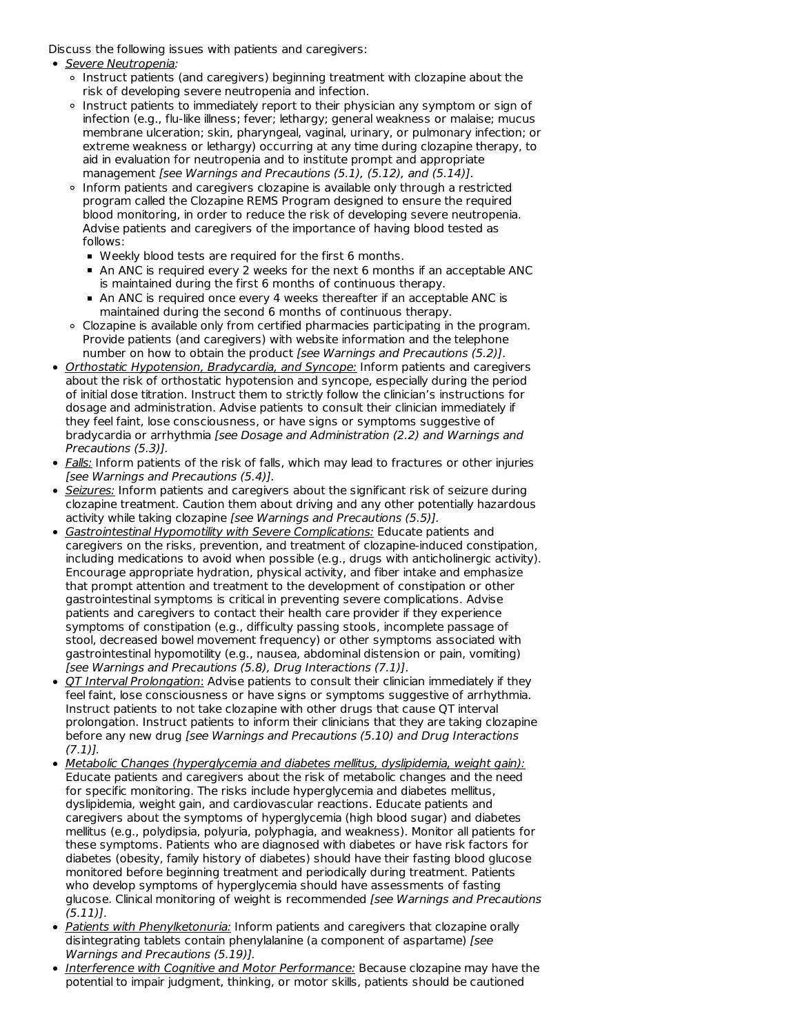Discuss the following issues with patients and caregivers:

- Severe Neutropenia:
	- Instruct patients (and caregivers) beginning treatment with clozapine about the risk of developing severe neutropenia and infection.
	- Instruct patients to immediately report to their physician any symptom or sign of infection (e.g., flu-like illness; fever; lethargy; general weakness or malaise; mucus membrane ulceration; skin, pharyngeal, vaginal, urinary, or pulmonary infection; or extreme weakness or lethargy) occurring at any time during clozapine therapy, to aid in evaluation for neutropenia and to institute prompt and appropriate management [see Warnings and Precautions (5.1), (5.12), and (5.14)].
	- o Inform patients and caregivers clozapine is available only through a restricted program called the Clozapine REMS Program designed to ensure the required blood monitoring, in order to reduce the risk of developing severe neutropenia. Advise patients and caregivers of the importance of having blood tested as follows:
		- Weekly blood tests are required for the first 6 months.
		- An ANC is required every 2 weeks for the next 6 months if an acceptable ANC is maintained during the first 6 months of continuous therapy.
		- An ANC is required once every 4 weeks thereafter if an acceptable ANC is maintained during the second 6 months of continuous therapy.
	- Clozapine is available only from certified pharmacies participating in the program. Provide patients (and caregivers) with website information and the telephone number on how to obtain the product [see Warnings and Precautions (5.2)].
- Orthostatic Hypotension, Bradycardia, and Syncope: Inform patients and caregivers about the risk of orthostatic hypotension and syncope, especially during the period of initial dose titration. Instruct them to strictly follow the clinician's instructions for dosage and administration. Advise patients to consult their clinician immediately if they feel faint, lose consciousness, or have signs or symptoms suggestive of bradycardia or arrhythmia [see Dosage and Administration (2.2) and Warnings and Precautions (5.3)].
- Falls: Inform patients of the risk of falls, which may lead to fractures or other injuries [see Warnings and Precautions (5.4)].
- Seizures: Inform patients and caregivers about the significant risk of seizure during clozapine treatment. Caution them about driving and any other potentially hazardous activity while taking clozapine [see Warnings and Precautions (5.5)].
- Gastrointestinal Hypomotility with Severe Complications: Educate patients and caregivers on the risks, prevention, and treatment of clozapine-induced constipation, including medications to avoid when possible (e.g., drugs with anticholinergic activity). Encourage appropriate hydration, physical activity, and fiber intake and emphasize that prompt attention and treatment to the development of constipation or other gastrointestinal symptoms is critical in preventing severe complications. Advise patients and caregivers to contact their health care provider if they experience symptoms of constipation (e.g., difficulty passing stools, incomplete passage of stool, decreased bowel movement frequency) or other symptoms associated with gastrointestinal hypomotility (e.g., nausea, abdominal distension or pain, vomiting) [see Warnings and Precautions (5.8), Drug Interactions (7.1)].
- OT Interval Prolongation: Advise patients to consult their clinician immediately if they feel faint, lose consciousness or have signs or symptoms suggestive of arrhythmia. Instruct patients to not take clozapine with other drugs that cause QT interval prolongation. Instruct patients to inform their clinicians that they are taking clozapine before any new drug [see Warnings and Precautions (5.10) and Drug Interactions  $(7.1)$ ].
- **Metabolic Changes (hyperglycemia and diabetes mellitus, dyslipidemia, weight gain):** Educate patients and caregivers about the risk of metabolic changes and the need for specific monitoring. The risks include hyperglycemia and diabetes mellitus, dyslipidemia, weight gain, and cardiovascular reactions. Educate patients and caregivers about the symptoms of hyperglycemia (high blood sugar) and diabetes mellitus (e.g., polydipsia, polyuria, polyphagia, and weakness). Monitor all patients for these symptoms. Patients who are diagnosed with diabetes or have risk factors for diabetes (obesity, family history of diabetes) should have their fasting blood glucose monitored before beginning treatment and periodically during treatment. Patients who develop symptoms of hyperglycemia should have assessments of fasting glucose. Clinical monitoring of weight is recommended [see Warnings and Precautions  $(5.11)$ .
- Patients with Phenylketonuria: Inform patients and caregivers that clozapine orally disintegrating tablets contain phenylalanine (a component of aspartame) [see Warnings and Precautions (5.19)].
- Interference with Cognitive and Motor Performance: Because clozapine may have the potential to impair judgment, thinking, or motor skills, patients should be cautioned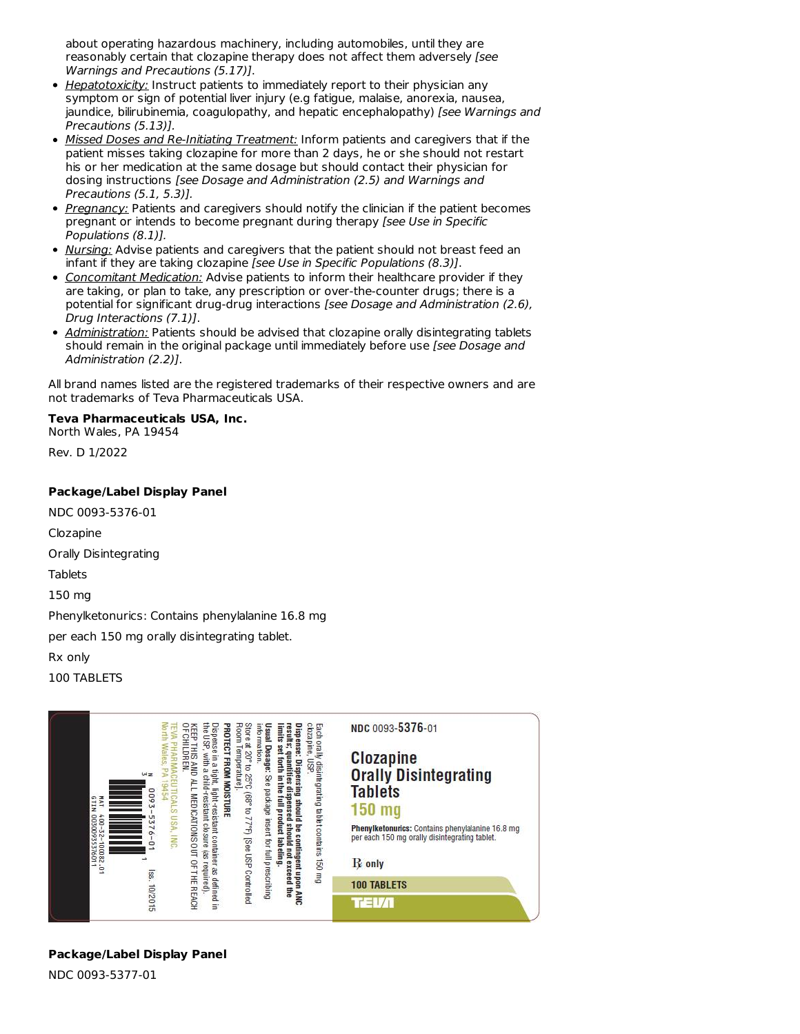about operating hazardous machinery, including automobiles, until they are reasonably certain that clozapine therapy does not affect them adversely [see Warnings and Precautions (5.17)].

- Hepatotoxicity: Instruct patients to immediately report to their physician any symptom or sign of potential liver injury (e.g fatigue, malaise, anorexia, nausea, jaundice, bilirubinemia, coagulopathy, and hepatic encephalopathy) [see Warnings and Precautions (5.13)].
- Missed Doses and Re-Initiating Treatment: Inform patients and caregivers that if the patient misses taking clozapine for more than 2 days, he or she should not restart his or her medication at the same dosage but should contact their physician for dosing instructions [see Dosage and Administration (2.5) and Warnings and Precautions (5.1, 5.3)].
- Pregnancy: Patients and caregivers should notify the clinician if the patient becomes pregnant or intends to become pregnant during therapy [see Use in Specific Populations (8.1)].
- Nursing: Advise patients and caregivers that the patient should not breast feed an infant if they are taking clozapine [see Use in Specific Populations (8.3)].
- **Concomitant Medication:** Advise patients to inform their healthcare provider if they are taking, or plan to take, any prescription or over-the-counter drugs; there is a potential for significant drug-drug interactions [see Dosage and Administration (2.6), Drug Interactions (7.1)].
- Administration: Patients should be advised that clozapine orally disintegrating tablets should remain in the original package until immediately before use [see Dosage and Administration (2.2)].

All brand names listed are the registered trademarks of their respective owners and are not trademarks of Teva Pharmaceuticals USA.

# **Teva Pharmaceuticals USA, Inc.**

North Wales, PA 19454

Rev. D 1/2022

# **Package/Label Display Panel**

NDC 0093-5376-01 Clozapine

Orally Disintegrating

Tablets

150 mg

Phenylketonurics: Contains phenylalanine 16.8 mg

per each 150 mg orally disintegrating tablet.

Rx only

100 TABLETS



# **Package/Label Display Panel**

NDC 0093-5377-01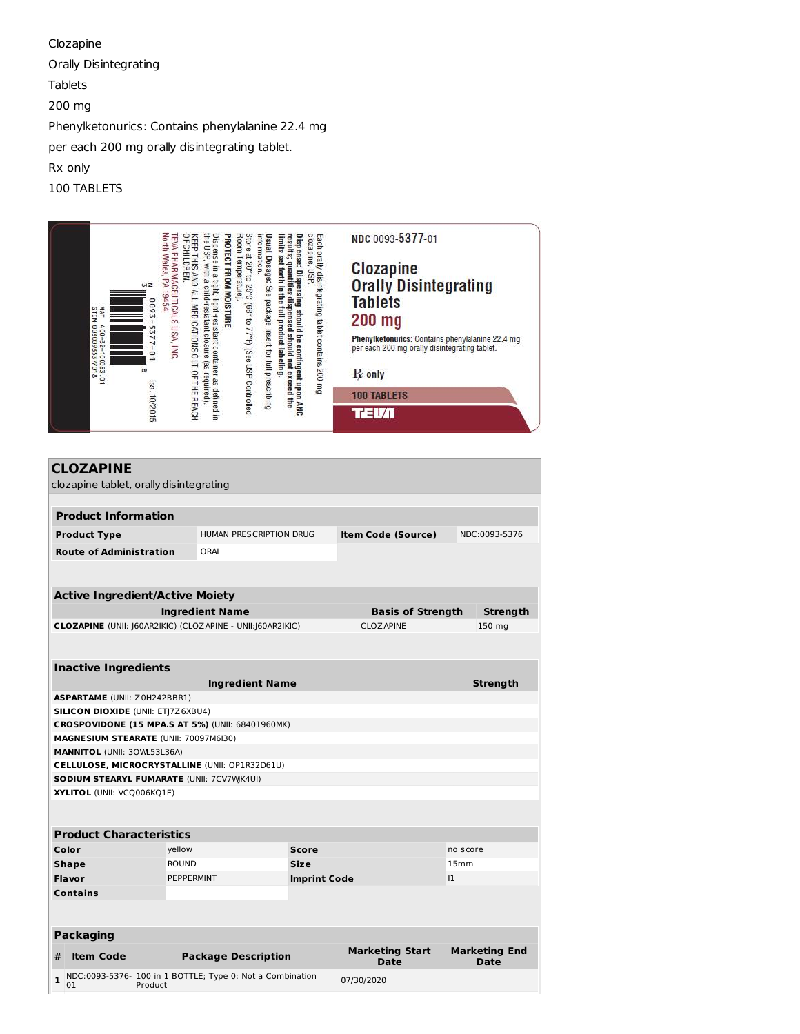Clozapine Orally Disintegrating Tablets 200 mg Phenylketonurics: Contains phenylalanine 22.4 mg per each 200 mg orally disintegrating tablet. Rx only 100 TABLETS

|                                                   |                                               | the U <sub>SP</sub>                                                                                                                                                                                                               |                                                                                                                                                                                       | clozapine,                                                                                                                                                                                                                          | NDC 0093-5377-01                                                                                                                                                      |
|---------------------------------------------------|-----------------------------------------------|-----------------------------------------------------------------------------------------------------------------------------------------------------------------------------------------------------------------------------------|---------------------------------------------------------------------------------------------------------------------------------------------------------------------------------------|-------------------------------------------------------------------------------------------------------------------------------------------------------------------------------------------------------------------------------------|-----------------------------------------------------------------------------------------------------------------------------------------------------------------------|
| NI19<br>TAT<br>400-32-100083.01<br>00300935377018 | North Wales, PA 19454<br>WZ<br>600<br>5377-01 | <b>OF CHILDREN</b><br><b>TEVA PHARMACEU TICALS USA, INC</b><br>Dispense in a tight, light-resistant container as defined in<br>KEEP THIS<br>with a child-resistant closure (as required).<br>AND ALL MEDICATIONS OUT OF THE REACH | Room Temperature].<br>information.<br><b>PROTECT FROM MOISTURE</b><br>Store at 20° to 25°C (68° to 77°F) [See USP Controlled<br>Usual Dosage: See package insert for full prescribing | Dispense: Dispensing should<br>Each orally disintegrating tablet contains 200 mg<br>results; quantities dispensed should not exceed the<br>imits set forth<br><b>USP</b><br>in the full product labeling.<br>be contingent upon ANC | Clozapine<br>Orally Disintegrating<br><b>Tablets</b><br>$200$ mg<br>Phenylketonurics: Contains phenylalanine 22.4 mg<br>per each 200 mg orally disintegrating tablet. |
|                                                   | œ                                             |                                                                                                                                                                                                                                   |                                                                                                                                                                                       |                                                                                                                                                                                                                                     | $R$ only                                                                                                                                                              |
|                                                   | lss. 10/2015                                  |                                                                                                                                                                                                                                   |                                                                                                                                                                                       |                                                                                                                                                                                                                                     | <b>100 TABLETS</b>                                                                                                                                                    |
|                                                   |                                               |                                                                                                                                                                                                                                   |                                                                                                                                                                                       |                                                                                                                                                                                                                                     | ır≡l                                                                                                                                                                  |

| <b>CLOZAPINE</b><br>clozapine tablet, orally disintegrating                     |                   |                                                           |  |  |                                       |                  |                                     |  |
|---------------------------------------------------------------------------------|-------------------|-----------------------------------------------------------|--|--|---------------------------------------|------------------|-------------------------------------|--|
|                                                                                 |                   |                                                           |  |  |                                       |                  |                                     |  |
| <b>Product Information</b>                                                      |                   |                                                           |  |  |                                       |                  |                                     |  |
| <b>Product Type</b>                                                             |                   | HUMAN PRESCRIPTION DRUG                                   |  |  | <b>Item Code (Source)</b>             |                  | NDC:0093-5376                       |  |
| <b>Route of Administration</b>                                                  |                   | ORAL                                                      |  |  |                                       |                  |                                     |  |
|                                                                                 |                   |                                                           |  |  |                                       |                  |                                     |  |
| <b>Active Ingredient/Active Moiety</b>                                          |                   |                                                           |  |  |                                       |                  |                                     |  |
|                                                                                 |                   | <b>Ingredient Name</b>                                    |  |  | <b>Basis of Strength</b>              |                  | <b>Strength</b>                     |  |
| CLOZAPINE (UNII: 160AR2IKIC) (CLOZAPINE - UNII:160AR2IKIC)<br><b>CLOZ APINE</b> |                   |                                                           |  |  | 150 mg                                |                  |                                     |  |
|                                                                                 |                   |                                                           |  |  |                                       |                  |                                     |  |
| <b>Inactive Ingredients</b>                                                     |                   |                                                           |  |  |                                       |                  |                                     |  |
|                                                                                 |                   | <b>Ingredient Name</b>                                    |  |  |                                       |                  | <b>Strength</b>                     |  |
| <b>ASPARTAME (UNII: Z0H242BBR1)</b>                                             |                   |                                                           |  |  |                                       |                  |                                     |  |
| <b>SILICON DIOXIDE (UNII: ET 7Z6XBU4)</b>                                       |                   |                                                           |  |  |                                       |                  |                                     |  |
|                                                                                 |                   | CROSPOVIDONE (15 MPA.S AT 5%) (UNII: 68401960MK)          |  |  |                                       |                  |                                     |  |
| MAGNESIUM STEARATE (UNII: 70097M6I30)                                           |                   |                                                           |  |  |                                       |                  |                                     |  |
| <b>MANNITOL (UNII: 30WL53L36A)</b>                                              |                   |                                                           |  |  |                                       |                  |                                     |  |
|                                                                                 |                   | CELLULOSE, MICROCRYSTALLINE (UNII: OP1R32D61U)            |  |  |                                       |                  |                                     |  |
| SODIUM STEARYL FUMARATE (UNII: 7CV7WK4UI)                                       |                   |                                                           |  |  |                                       |                  |                                     |  |
| XYLITOL (UNII: VCQ006KQ1E)                                                      |                   |                                                           |  |  |                                       |                  |                                     |  |
|                                                                                 |                   |                                                           |  |  |                                       |                  |                                     |  |
| <b>Product Characteristics</b>                                                  |                   |                                                           |  |  |                                       |                  |                                     |  |
| Color                                                                           | yellow            | <b>Score</b>                                              |  |  |                                       |                  | no score                            |  |
| <b>Shape</b>                                                                    | <b>ROUND</b>      | <b>Size</b>                                               |  |  |                                       | 15 <sub>mm</sub> |                                     |  |
| <b>Flavor</b>                                                                   | <b>PEPPERMINT</b> | <b>Imprint Code</b>                                       |  |  | $ 1\rangle$                           |                  |                                     |  |
| <b>Contains</b>                                                                 |                   |                                                           |  |  |                                       |                  |                                     |  |
|                                                                                 |                   |                                                           |  |  |                                       |                  |                                     |  |
| <b>Packaging</b>                                                                |                   |                                                           |  |  |                                       |                  |                                     |  |
| <b>Item Code</b><br>#                                                           |                   | <b>Package Description</b>                                |  |  | <b>Marketing Start</b><br><b>Date</b> |                  | <b>Marketing End</b><br><b>Date</b> |  |
| $\mathbf{1}$                                                                    |                   | NDC:0093-5376- 100 in 1 BOTTLE; Type 0: Not a Combination |  |  | 07/30/2020                            |                  |                                     |  |

**1** NDC:0093-5376- 100 in 1 BOTTLE; Type 0: Not a Combination Product